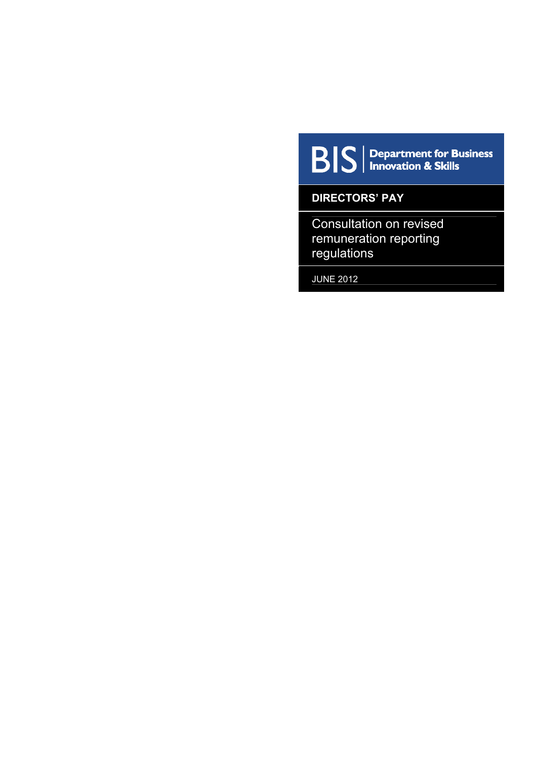$\mathbf{B}|\mathbf{S}|$  Department for Business

**DIRECTORS' PAY** 

Consultation on revised remuneration reporting regulations

JUNE 2012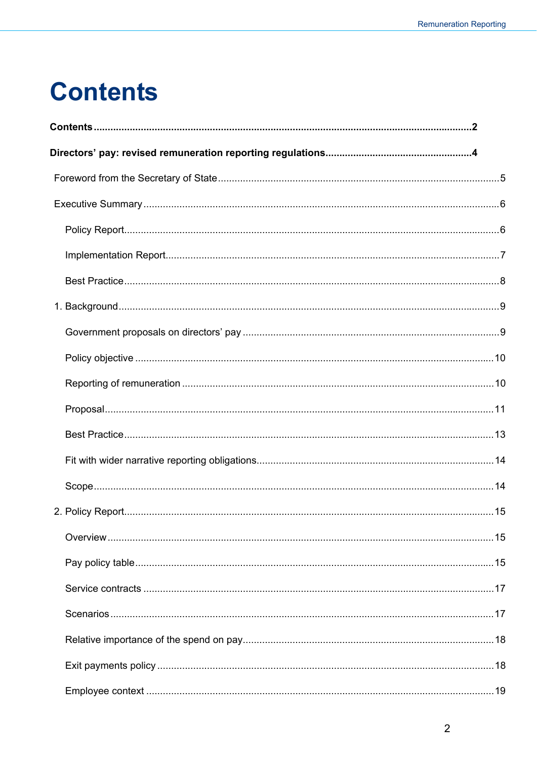# <span id="page-1-0"></span>**Contents**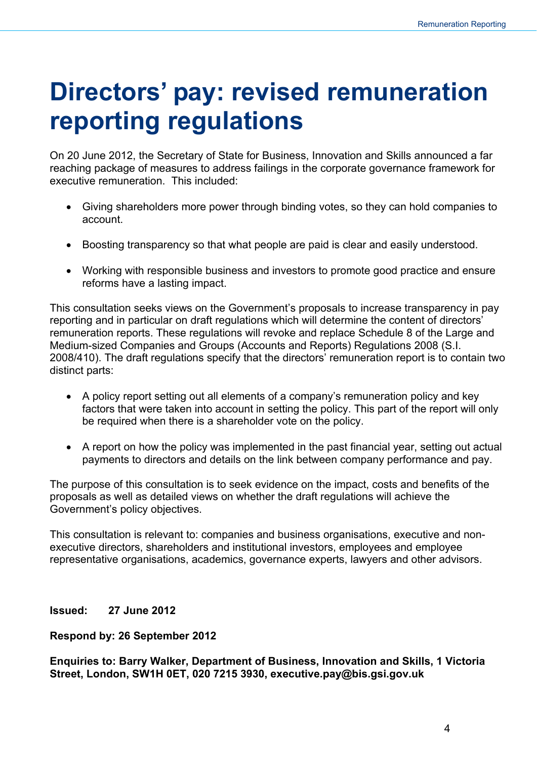# <span id="page-3-0"></span>**Directors' pay: revised remuneration reporting regulations**

On 20 June 2012, the Secretary of State for Business, Innovation and Skills announced a far reaching package of measures to address failings in the corporate governance framework for executive remuneration. This included:

- Giving shareholders more power through binding votes, so they can hold companies to account.
- Boosting transparency so that what people are paid is clear and easily understood.
- Working with responsible business and investors to promote good practice and ensure reforms have a lasting impact.

This consultation seeks views on the Government's proposals to increase transparency in pay reporting and in particular on draft regulations which will determine the content of directors' remuneration reports. These regulations will revoke and replace Schedule 8 of the Large and Medium-sized Companies and Groups (Accounts and Reports) Regulations 2008 (S.I. 2008/410). The draft regulations specify that the directors' remuneration report is to contain two distinct parts:

- A policy report setting out all elements of a company's remuneration policy and key factors that were taken into account in setting the policy. This part of the report will only be required when there is a shareholder vote on the policy.
- A report on how the policy was implemented in the past financial year, setting out actual payments to directors and details on the link between company performance and pay.

The purpose of this consultation is to seek evidence on the impact, costs and benefits of the proposals as well as detailed views on whether the draft regulations will achieve the Government's policy objectives.

This consultation is relevant to: companies and business organisations, executive and nonexecutive directors, shareholders and institutional investors, employees and employee representative organisations, academics, governance experts, lawyers and other advisors.

**Issued: 27 June 2012** 

**Respond by: 26 September 2012** 

**Enquiries to: Barry Walker, Department of Business, Innovation and Skills, 1 Victoria Street, London, SW1H 0ET, 020 7215 3930, executive.pay@bis.gsi.gov.uk**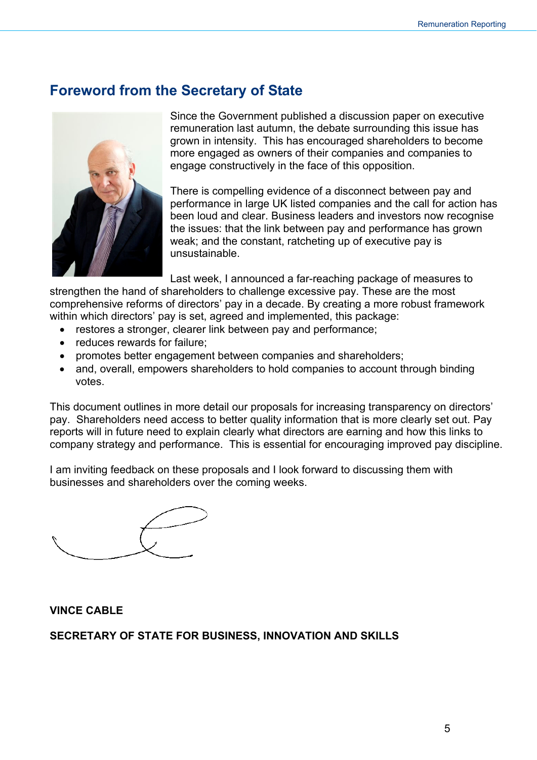# <span id="page-4-0"></span>**Foreword from the Secretary of State**



Since the Government published a discussion paper on executive remuneration last autumn, the debate surrounding this issue has grown in intensity. This has encouraged shareholders to become more engaged as owners of their companies and companies to engage constructively in the face of this opposition.

There is compelling evidence of a disconnect between pay and performance in large UK listed companies and the call for action has been loud and clear. Business leaders and investors now recognise the issues: that the link between pay and performance has grown weak; and the constant, ratcheting up of executive pay is unsustainable.

Last week, I announced a far-reaching package of measures to

strengthen the hand of shareholders to challenge excessive pay. These are the most comprehensive reforms of directors' pay in a decade. By creating a more robust framework within which directors' pay is set, agreed and implemented, this package:

- restores a stronger, clearer link between pay and performance:
- reduces rewards for failure:
- promotes better engagement between companies and shareholders;
- and, overall, empowers shareholders to hold companies to account through binding votes.

This document outlines in more detail our proposals for increasing transparency on directors' pay. Shareholders need access to better quality information that is more clearly set out. Pay reports will in future need to explain clearly what directors are earning and how this links to company strategy and performance. This is essential for encouraging improved pay discipline.

I am inviting feedback on these proposals and I look forward to discussing them with businesses and shareholders over the coming weeks.

# **VINCE CABLE**

# **SECRETARY OF STATE FOR BUSINESS, INNOVATION AND SKILLS**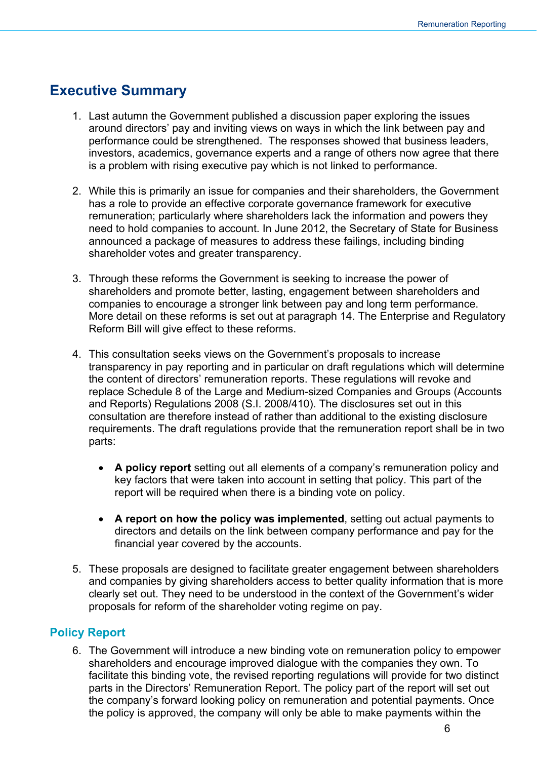# <span id="page-5-0"></span>**Executive Summary**

- 1. Last autumn the Government published a discussion paper exploring the issues around directors' pay and inviting views on ways in which the link between pay and performance could be strengthened. The responses showed that business leaders, investors, academics, governance experts and a range of others now agree that there is a problem with rising executive pay which is not linked to performance.
- 2. While this is primarily an issue for companies and their shareholders, the Government has a role to provide an effective corporate governance framework for executive remuneration; particularly where shareholders lack the information and powers they need to hold companies to account. In June 2012, the Secretary of State for Business announced a package of measures to address these failings, including binding shareholder votes and greater transparency.
- 3. Through these reforms the Government is seeking to increase the power of shareholders and promote better, lasting, engagement between shareholders and companies to encourage a stronger link between pay and long term performance. More detail on these reforms is set out at paragraph 14. The Enterprise and Regulatory Reform Bill will give effect to these reforms.
- 4. This consultation seeks views on the Government's proposals to increase transparency in pay reporting and in particular on draft regulations which will determine the content of directors' remuneration reports. These regulations will revoke and replace Schedule 8 of the Large and Medium-sized Companies and Groups (Accounts and Reports) Regulations 2008 (S.I. 2008/410). The disclosures set out in this consultation are therefore instead of rather than additional to the existing disclosure requirements. The draft regulations provide that the remuneration report shall be in two parts:
	- **A policy report** setting out all elements of a company's remuneration policy and key factors that were taken into account in setting that policy. This part of the report will be required when there is a binding vote on policy.
	- **A report on how the policy was implemented**, setting out actual payments to directors and details on the link between company performance and pay for the financial year covered by the accounts.
- 5. These proposals are designed to facilitate greater engagement between shareholders and companies by giving shareholders access to better quality information that is more clearly set out. They need to be understood in the context of the Government's wider proposals for reform of the shareholder voting regime on pay.

# <span id="page-5-1"></span>**Policy Report**

6. The Government will introduce a new binding vote on remuneration policy to empower shareholders and encourage improved dialogue with the companies they own. To facilitate this binding vote, the revised reporting regulations will provide for two distinct parts in the Directors' Remuneration Report. The policy part of the report will set out the company's forward looking policy on remuneration and potential payments. Once the policy is approved, the company will only be able to make payments within the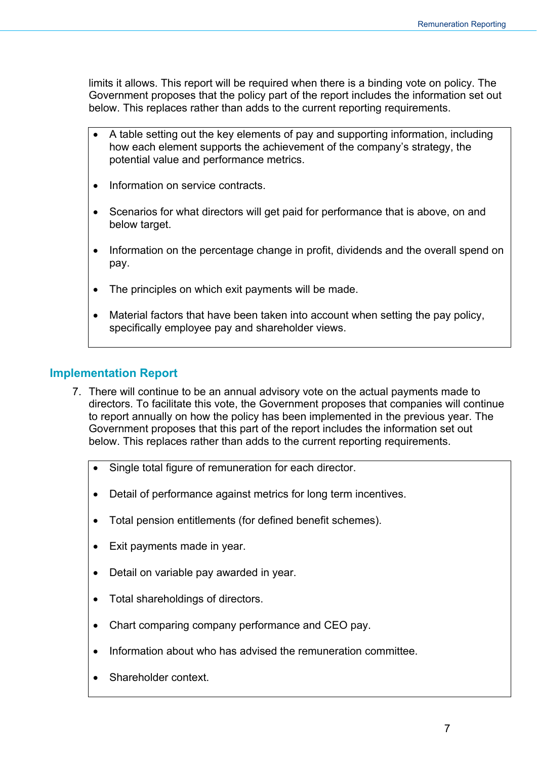limits it allows. This report will be required when there is a binding vote on policy. The Government proposes that the policy part of the report includes the information set out below. This replaces rather than adds to the current reporting requirements.

- A table setting out the key elements of pay and supporting information, including how each element supports the achievement of the company's strategy, the potential value and performance metrics.
- Information on service contracts.
- Scenarios for what directors will get paid for performance that is above, on and below target.
- Information on the percentage change in profit, dividends and the overall spend on pay.
- The principles on which exit payments will be made.
- Material factors that have been taken into account when setting the pay policy, specifically employee pay and shareholder views.

## <span id="page-6-0"></span>**Implementation Report**

- 7. There will continue to be an annual advisory vote on the actual payments made to directors. To facilitate this vote, the Government proposes that companies will continue to report annually on how the policy has been implemented in the previous year. The Government proposes that this part of the report includes the information set out below. This replaces rather than adds to the current reporting requirements.
	- Single total figure of remuneration for each director.
	- Detail of performance against metrics for long term incentives.
	- Total pension entitlements (for defined benefit schemes).
	- Exit payments made in year.
	- Detail on variable pay awarded in year.
	- Total shareholdings of directors.
	- Chart comparing company performance and CEO pay.
	- Information about who has advised the remuneration committee.
	- Shareholder context.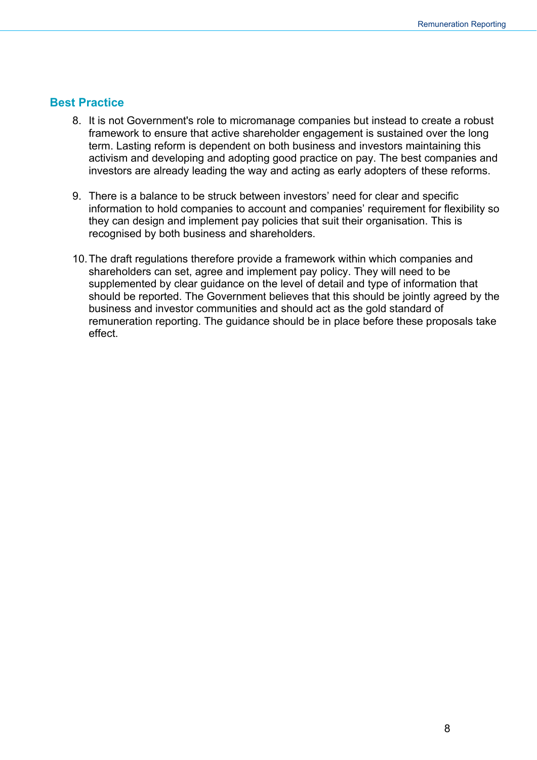#### <span id="page-7-0"></span>**Best Practice**

- 8. It is not Government's role to micromanage companies but instead to create a robust framework to ensure that active shareholder engagement is sustained over the long term. Lasting reform is dependent on both business and investors maintaining this activism and developing and adopting good practice on pay. The best companies and investors are already leading the way and acting as early adopters of these reforms.
- 9. There is a balance to be struck between investors' need for clear and specific information to hold companies to account and companies' requirement for flexibility so they can design and implement pay policies that suit their organisation. This is recognised by both business and shareholders.
- 10. The draft regulations therefore provide a framework within which companies and shareholders can set, agree and implement pay policy. They will need to be supplemented by clear guidance on the level of detail and type of information that should be reported. The Government believes that this should be jointly agreed by the business and investor communities and should act as the gold standard of remuneration reporting. The guidance should be in place before these proposals take effect.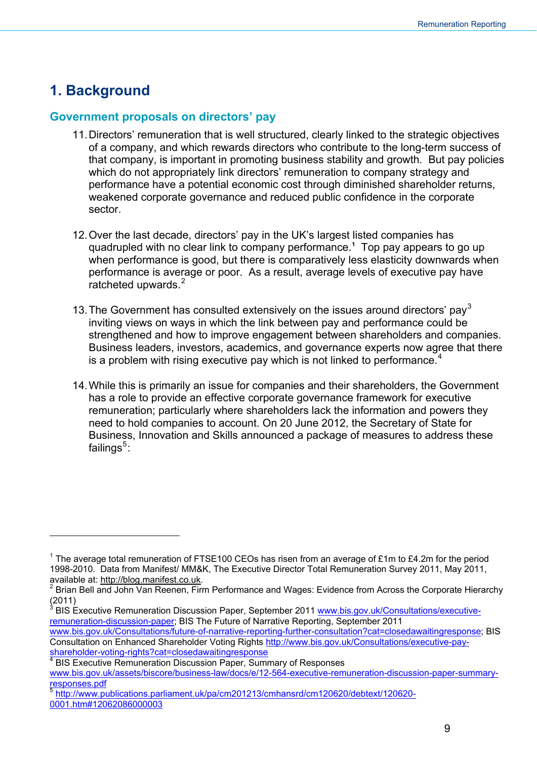# <span id="page-8-0"></span>**1. Background**

l

## <span id="page-8-1"></span>**Government proposals on directors' pay**

- 11. Directors' remuneration that is well structured, clearly linked to the strategic objectives of a company, and which rewards directors who contribute to the long-term success of that company, is important in promoting business stability and growth. But pay policies which do not appropriately link directors' remuneration to company strategy and performance have a potential economic cost through diminished shareholder returns, weakened corporate governance and reduced public confidence in the corporate sector.
- 12. Over the last decade, directors' pay in the UK's largest listed companies has quadrupled with no clear link to company performance.**[1](#page-9-2)** Top pay appears to go up when performance is good, but there is comparatively less elasticity downwards when performance is average or poor. As a result, average levels of executive pay have .<br>ratcheted upwards.<sup>[2](#page-9-3)</sup>
- 1[3](#page-9-4). The Government has consulted extensively on the issues around directors' pay<sup>3</sup> inviting views on ways in which the link between pay and performance could be strengthened and how to improve engagement between shareholders and companies. Business leaders, investors, academics, and governance experts now agree that there is a problem with rising executive pay which is not linked to performance.<sup>[4](#page-9-5)</sup>
- 14. While this is primarily an issue for companies and their shareholders, the Government has a role to provide an effective corporate governance framework for executive remuneration; particularly where shareholders lack the information and powers they need to hold companies to account. On 20 June 2012, the Secretary of State for Business, Innovation and Skills announced a package of measures to address these failings<sup>[5](#page-9-6)</sup>:

remuneration-discussion-paper; BIS The Future of Narrative Reporting, September 2011

www.bis.gov.uk/Consultations/future-of-narrative-reporting-further-consultation?cat=closedawaitingresponse; BIS Consultation on Enhanced Shareholder Voting Rights http://www.bis.gov.uk/Consultations/executive-payshareholder-voting-rights?cat=closedawaitingresponse 4

BIS Executive Remuneration Discussion Paper, Summary of Responses

<sup>&</sup>lt;sup>1</sup> The average total remuneration of FTSE100 CEOs has risen from an average of £1m to £4.2m for the period 1998-2010. Data from Manifest/ MM&K, The Executive Director Total Remuneration Survey 2011, May 2011, available at: [http://blog.manifest.co.uk.](http://blog.manifest.co.uk/) 2

<sup>&</sup>lt;sup>2</sup> Brian Bell and John Van Reenen, Firm Performance and Wages: Evidence from Across the Corporate Hierarchy (2011)<br><sup>3</sup> BIS Executive Remuneration Discussion Paper, September 2011 <u>www.bis.gov.uk/Consultations/executive</u>-

www.bis.gov.uk/assets/biscore/business-law/docs/e/12-564-executive-remuneration-discussion-paper-summary-<br>responses.pdf<br>5 http://www.markliseticus.com

http://www.publications.parliament.uk/pa/cm201213/cmhansrd/cm120620/debtext/120620-0001.htm#12062086000003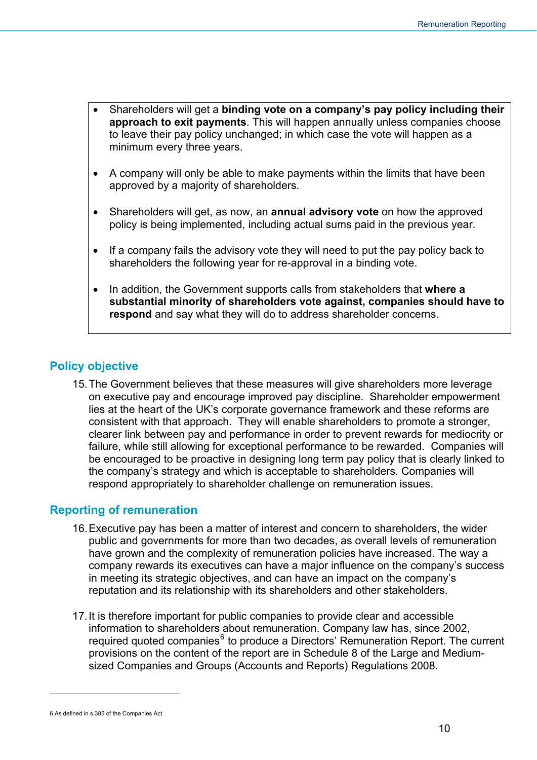- Shareholders will get a **binding vote on a company's pay policy including their approach to exit payments**. This will happen annually unless companies choose to leave their pay policy unchanged; in which case the vote will happen as a minimum every three years.
- A company will only be able to make payments within the limits that have been approved by a majority of shareholders.
- Shareholders will get, as now, an **annual advisory vote** on how the approved policy is being implemented, including actual sums paid in the previous year.
- If a company fails the advisory vote they will need to put the pay policy back to shareholders the following year for re-approval in a binding vote.
- In addition, the Government supports calls from stakeholders that **where a substantial minority of shareholders vote against, companies should have to respond** and say what they will do to address shareholder concerns.

# <span id="page-9-0"></span>**Policy objective**

15. The Government believes that these measures will give shareholders more leverage on executive pay and encourage improved pay discipline. Shareholder empowerment lies at the heart of the UK's corporate governance framework and these reforms are consistent with that approach. They will enable shareholders to promote a stronger, clearer link between pay and performance in order to prevent rewards for mediocrity or failure, while still allowing for exceptional performance to be rewarded. Companies will be encouraged to be proactive in designing long term pay policy that is clearly linked to the company's strategy and which is acceptable to shareholders. Companies will respond appropriately to shareholder challenge on remuneration issues.

# <span id="page-9-2"></span><span id="page-9-1"></span>**Reporting of remuneration**

- 16. Executive pay has been a matter of interest and concern to shareholders, the wider public and governments for more than two decades, as overall levels of remuneration have grown and the complexity of remuneration policies have increased. The way a company rewards its executives can have a major influence on the company's success in meeting its strategic objectives, and can have an impact on the company's reputation and its relationship with its shareholders and other stakeholders.
- <span id="page-9-4"></span><span id="page-9-3"></span>17. It is therefore important for public companies to provide clear and accessible information to shareholders about remuneration. Company law has, since 2002, required quoted companies<sup>[6](#page-10-1)</sup> to produce a Directors' Remuneration Report. The current provisions on the content of the report are in Schedule 8 of the Large and Mediumsized Companies and Groups (Accounts and Reports) Regulations 2008.

<span id="page-9-6"></span><span id="page-9-5"></span><sup>6</sup> As defined in s.385 of the Companies Act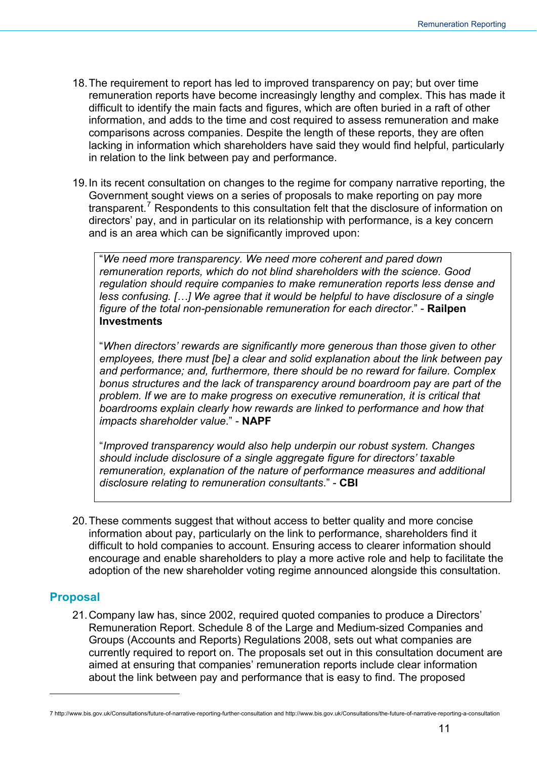- 18. The requirement to report has led to improved transparency on pay; but over time remuneration reports have become increasingly lengthy and complex. This has made it difficult to identify the main facts and figures, which are often buried in a raft of other information, and adds to the time and cost required to assess remuneration and make comparisons across companies. Despite the length of these reports, they are often lacking in information which shareholders have said they would find helpful, particularly in relation to the link between pay and performance.
- 19. In its recent consultation on changes to the regime for company narrative reporting, the Government sought views on a series of proposals to make reporting on pay more transparent.<sup>[7](#page-11-0)</sup> Respondents to this consultation felt that the disclosure of information on directors' pay, and in particular on its relationship with performance, is a key concern and is an area which can be significantly improved upon:

"*We need more transparency. We need more coherent and pared down remuneration reports, which do not blind shareholders with the science. Good regulation should require companies to make remuneration reports less dense and less confusing. […] We agree that it would be helpful to have disclosure of a single figure of the total non-pensionable remuneration for each director*." - **Railpen Investments**

"*When directors' rewards are significantly more generous than those given to other employees, there must [be] a clear and solid explanation about the link between pay and performance; and, furthermore, there should be no reward for failure. Complex bonus structures and the lack of transparency around boardroom pay are part of the problem. If we are to make progress on executive remuneration, it is critical that boardrooms explain clearly how rewards are linked to performance and how that impacts shareholder value*." - **NAPF**

"*Improved transparency would also help underpin our robust system. Changes should include disclosure of a single aggregate figure for directors' taxable remuneration, explanation of the nature of performance measures and additional disclosure relating to remuneration consultants*." - **CBI**

20. These comments suggest that without access to better quality and more concise information about pay, particularly on the link to performance, shareholders find it difficult to hold companies to account. Ensuring access to clearer information should encourage and enable shareholders to play a more active role and help to facilitate the adoption of the new shareholder voting regime announced alongside this consultation.

# <span id="page-10-0"></span>**Proposal**

l

21. Company law has, since 2002, required quoted companies to produce a Directors' Remuneration Report. Schedule 8 of the Large and Medium-sized Companies and Groups (Accounts and Reports) Regulations 2008, sets out what companies are currently required to report on. The proposals set out in this consultation document are aimed at ensuring that companies' remuneration reports include clear information about the link between pay and performance that is easy to find. The proposed

<span id="page-10-1"></span><sup>7</sup> <http://www.bis.gov.uk/Consultations/future-of-narrative-reporting-further-consultation> and http://www.bis.gov.uk/Consultations/the-future-of-narrative-reporting-a-consultation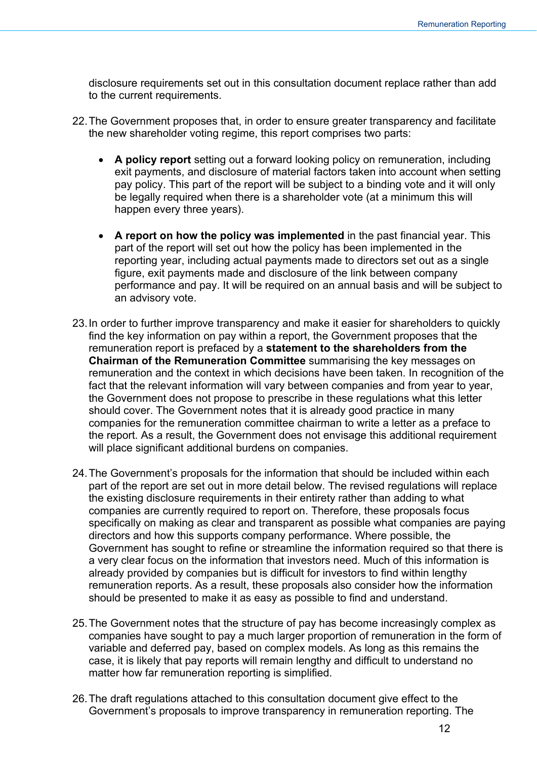disclosure requirements set out in this consultation document replace rather than add to the current requirements.

- 22.The Government proposes that, in order to ensure greater transparency and facilitate the new shareholder voting regime, this report comprises two parts:
	- **A policy report** setting out a forward looking policy on remuneration, including exit payments, and disclosure of material factors taken into account when setting pay policy. This part of the report will be subject to a binding vote and it will only be legally required when there is a shareholder vote (at a minimum this will happen every three years).
	- **A report on how the policy was implemented** in the past financial year. This part of the report will set out how the policy has been implemented in the reporting year, including actual payments made to directors set out as a single figure, exit payments made and disclosure of the link between company performance and pay. It will be required on an annual basis and will be subject to an advisory vote.
- 23. In order to further improve transparency and make it easier for shareholders to quickly find the key information on pay within a report, the Government proposes that the remuneration report is prefaced by a **statement to the shareholders from the Chairman of the Remuneration Committee** summarising the key messages on remuneration and the context in which decisions have been taken. In recognition of the fact that the relevant information will vary between companies and from year to year, the Government does not propose to prescribe in these regulations what this letter should cover. The Government notes that it is already good practice in many companies for the remuneration committee chairman to write a letter as a preface to the report. As a result, the Government does not envisage this additional requirement will place significant additional burdens on companies.
- 24. The Government's proposals for the information that should be included within each part of the report are set out in more detail below. The revised regulations will replace the existing disclosure requirements in their entirety rather than adding to what companies are currently required to report on. Therefore, these proposals focus specifically on making as clear and transparent as possible what companies are paying directors and how this supports company performance. Where possible, the Government has sought to refine or streamline the information required so that there is a very clear focus on the information that investors need. Much of this information is already provided by companies but is difficult for investors to find within lengthy remuneration reports. As a result, these proposals also consider how the information should be presented to make it as easy as possible to find and understand.
- 25. The Government notes that the structure of pay has become increasingly complex as companies have sought to pay a much larger proportion of remuneration in the form of variable and deferred pay, based on complex models. As long as this remains the case, it is likely that pay reports will remain lengthy and difficult to understand no matter how far remuneration reporting is simplified.
- <span id="page-11-0"></span>26. The draft regulations attached to this consultation document give effect to the Government's proposals to improve transparency in remuneration reporting. The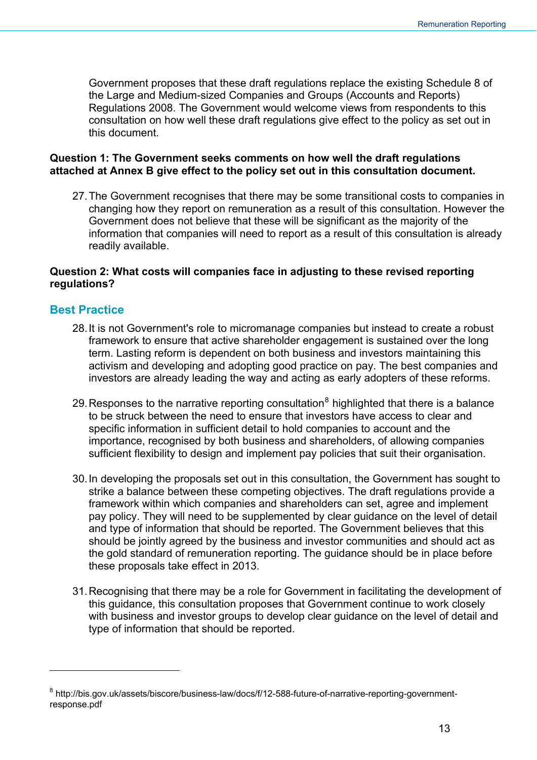Government proposes that these draft regulations replace the existing Schedule 8 of the Large and Medium-sized Companies and Groups (Accounts and Reports) Regulations 2008. The Government would welcome views from respondents to this consultation on how well these draft regulations give effect to the policy as set out in this document.

#### **Question 1: The Government seeks comments on how well the draft regulations attached at Annex B give effect to the policy set out in this consultation document.**

27. The Government recognises that there may be some transitional costs to companies in changing how they report on remuneration as a result of this consultation. However the Government does not believe that these will be significant as the majority of the information that companies will need to report as a result of this consultation is already readily available.

#### **Question 2: What costs will companies face in adjusting to these revised reporting regulations?**

## <span id="page-12-0"></span>**Best Practice**

- 28. It is not Government's role to micromanage companies but instead to create a robust framework to ensure that active shareholder engagement is sustained over the long term. Lasting reform is dependent on both business and investors maintaining this activism and developing and adopting good practice on pay. The best companies and investors are already leading the way and acting as early adopters of these reforms.
- 29. Responses to the narrative reporting consultation<sup>[8](#page-13-2)</sup> highlighted that there is a balance to be struck between the need to ensure that investors have access to clear and specific information in sufficient detail to hold companies to account and the importance, recognised by both business and shareholders, of allowing companie s sufficient flexibility to design and implement pay policies that suit their orga nisation.
- 30. In developing the proposals set out in this consultation, the Government has sought to strike a balance between these competing objectives. The draft regulations provide a framework within which companies and shareholders can set, agree and implement pay policy. They will need to be supplemented by clear guidance on the level of detail and type of information that should be reported. The Government believes that this should be jointly agreed by the business and investor communities and should act as the gold standard of remuneration reporting. The guidance should be in place before these proposals take effect in 2013.
- 31. Recognising that there may be a role for Government in facilitating the development of this guidance, this consultation proposes that Government continue to work closely with business and investor groups to develop clear guidance on the level of detail and type of information that should be reported.

<sup>&</sup>lt;sup>8</sup> http://bis.gov.uk/assets/biscore/business-law/docs/f/12-588-future-of-narrative-reporting-governmentresponse.pdf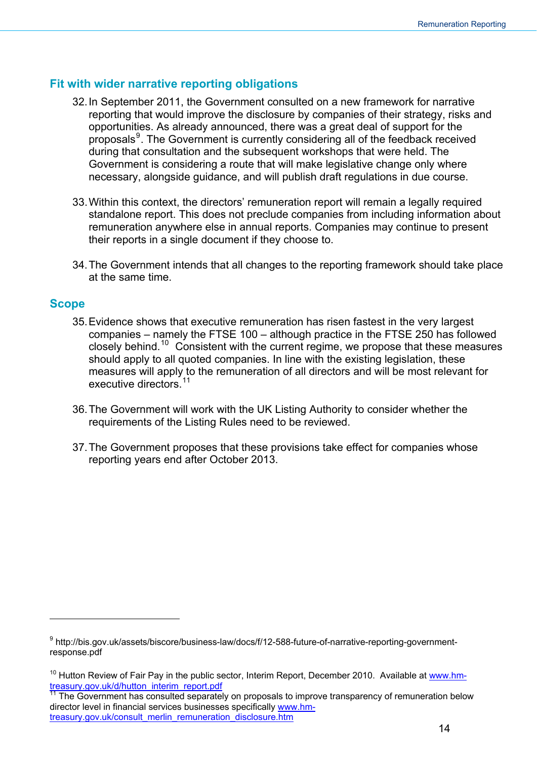## <span id="page-13-0"></span>**Fit with wider narrative reporting obligations**

- 32. In September 2011, the Government consulted on a new framework for narrative reporting that would improve the disclosure by companies of their strategy, risks and opportunities. As already announced, there was a great deal of support for the proposals<sup>[9](#page-14-3)</sup>. The Government is currently considering all of the feedback received during that consultation and the subsequent workshops that were held. The Government is considering a route that will make legislative change only where necessary, alongside guidance, and will publish draft regulations in due course.
- 33. Within this context, the directors' remuneration report will remain a legally required standalone report. This does not preclude companies from including information about remuneration anywhere else in annual reports. Companies may continue to present their reports in a single document if they choose to.
- 34. The Government intends that all changes to the reporting framework should take place at the same time.

#### <span id="page-13-1"></span>**Scope**

- 35. Evidence shows that executive remuneration has risen fastest in the very largest companies – namely the FTSE 100 – although practice in the FTSE 250 has followed closely behind.[10](#page-14-4) Consistent with the current regime, we propose that these measures should apply to all quoted companies. In line with the existing legislation, these measures will apply to the remuneration of all directors and will be most relevant for executive directors.<sup>[11](#page-14-5)</sup>
- 36. The Government will work with the UK Listing Authority to consider whether the requirements of the Listing Rules need to be reviewed.
- 37. The Government proposes that these provisions take effect for companies whose reporting years end after October 2013.

<sup>&</sup>lt;sup>9</sup> http://bis.gov.uk/assets/biscore/business-law/docs/f/12-588-future-of-narrative-reporting-governmentresponse.pdf

 $10$  Hutton Review of Fair Pay in the public sector, Interim Report, December 2010. Available at www.hmtreasury.gov.uk/d/hutton\_interim\_report.pdf

<span id="page-13-2"></span>The Government has consulted separately on proposals to improve transparency of remuneration below director level in financial services businesses specifically www.hmtreasury.gov.uk/consult\_merlin\_remuneration\_disclosure.htm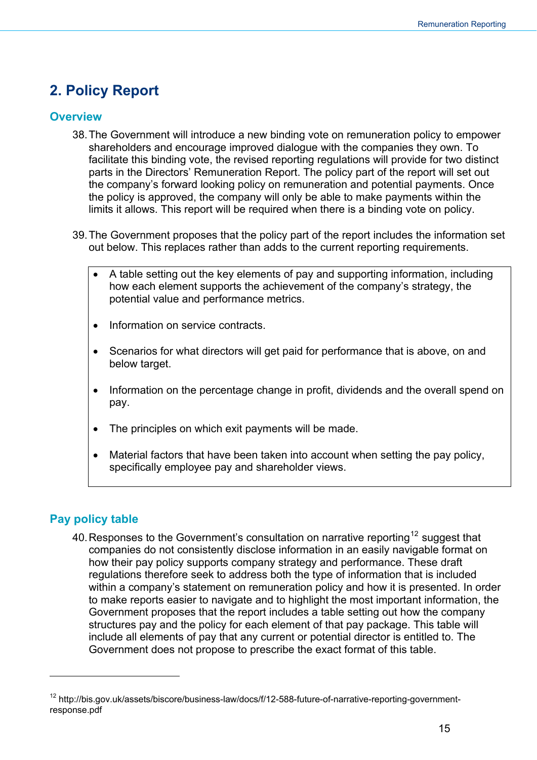# <span id="page-14-0"></span>**2. Policy Report**

# <span id="page-14-1"></span>**Overview**

- 38. The Government will introduce a new binding vote on remuneration policy to empower shareholders and encourage improved dialogue with the companies they own. To facilitate this binding vote, the revised reporting regulations will provide for two distinct parts in the Directors' Remuneration Report. The policy part of the report will set out the company's forward looking policy on remuneration and potential payments. Once the policy is approved, the company will only be able to make payments within the limits it allows. This report will be required when there is a binding vote on policy.
- 39. The Government proposes that the policy part of the report includes the information set out below. This replaces rather than adds to the current reporting requirements.
	- A table setting out the key elements of pay and supporting information, including how each element supports the achievement of the company's strategy, the potential value and performance metrics.
	- Information on service contracts.
	- Scenarios for what directors will get paid for performance that is above, on and below target.
	- Information on the percentage change in profit, dividends and the overall spend on pay.
	- The principles on which exit payments will be made.
	- Material factors that have been taken into account when setting the pay policy, specifically employee pay and shareholder views.

# <span id="page-14-2"></span>**Pay policy table**

<span id="page-14-4"></span><span id="page-14-3"></span>l

40. Responses to the Government's consultation on narrative reporting<sup>[12](#page-15-0)</sup> suggest that companies do not consistently disclose information in an easily navigable format on how their pay policy supports company strategy and performance. These draft regulations therefore seek to address both the type of information that is included within a company's statement on remuneration policy and how it is presented. In order to make reports easier to navigate and to highlight the most important information, the Government proposes that the report includes a table setting out how the company structures pay and the policy for each element of that pay package. This table will include all elements of pay that any current or potential director is entitled to. The Government does not propose to prescribe the exact format of this table.

<span id="page-14-5"></span><sup>&</sup>lt;sup>12</sup> http://bis.gov.uk/assets/biscore/business-law/docs/f/12-588-future-of-narrative-reporting-governmentresponse.pdf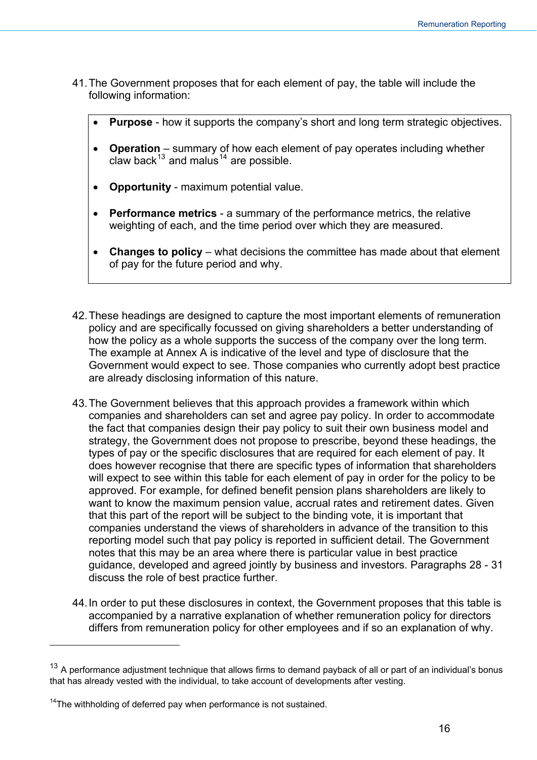- 41. The Government proposes that for each element of pay, the table will include the following information:
	- **Purpose** how it supports the company's short and long term strategic objectives.
	- **Operation** summary of how each element of pay operates including whether claw back<sup>[13](#page-16-2)</sup> and malus<sup>[14](#page-16-3)</sup> are possible.
	- **Opportunity** maximum potential value.
	- **Performance metrics** a summary of the performance metrics, the relative weighting of each, and the time period over which they are measured.
	- **Changes to policy** what decisions the committee has made about that element of pay for the future period and why.
- 42. These headings are designed to capture the most important elements of remuneration policy and are specifically focussed on giving shareholders a better understanding of how the policy as a whole supports the success of the company over the long term. The example at Annex A is indicative of the level and type of disclosure that the Government would expect to see. Those companies who currently adopt best practice are already disclosing information of this nature.
- 43. The Government believes that this approach provides a framework within which companies and shareholders can set and agree pay policy. In order to accommodate the fact that companies design their pay policy to suit their own business model and strategy, the Government does not propose to prescribe, beyond these headings, the types of pay or the specific disclosures that are required for each element of pay. It does however recognise that there are specific types of information that shareholders will expect to see within this table for each element of pay in order for the policy to be approved. For example, for defined benefit pension plans shareholders are likely to want to know the maximum pension value, accrual rates and retirement dates. Given that this part of the report will be subject to the binding vote, it is important that companies understand the views of shareholders in advance of the transition to this reporting model such that pay policy is reported in sufficient detail. The Government notes that this may be an area where there is particular value in best practice guidance, developed and agreed jointly by business and investors. Paragraphs 28 - 31 discuss the role of best practice further.
- 44. In order to put these disclosures in context, the Government proposes that this table is accompanied by a narrative explanation of whether remuneration policy for directors differs from remuneration policy for other employees and if so an explanation of why.

 $13$  A performance adjustment technique that allows firms to demand payback of all or part of an individual's bonus that has already vested with the individual, to take account of developments after vesting.

<span id="page-15-0"></span><sup>&</sup>lt;sup>14</sup>The withholding of deferred pay when performance is not sustained.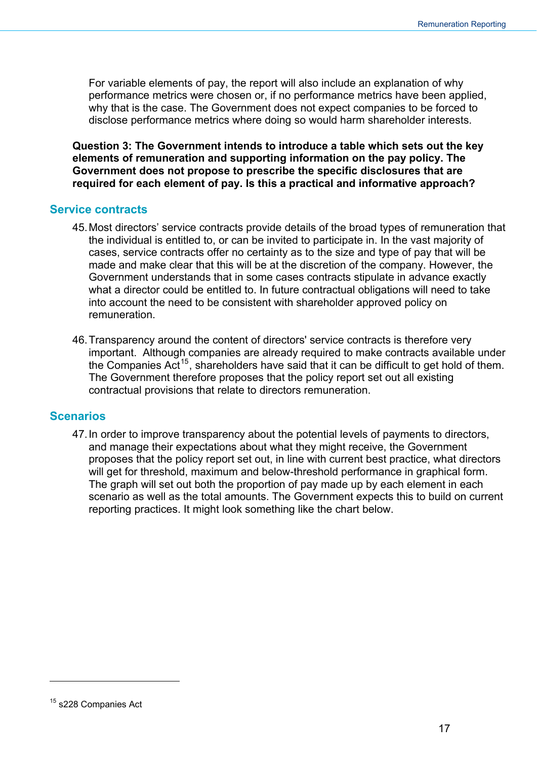For variable elements of pay, the report will also include an explanation of why performance metrics were chosen or, if no performance metrics have been applied, why that is the case. The Government does not expect companies to be forced to disclose performance metrics where doing so would harm shareholder interests.

**Question 3: The Government intends to introduce a table which sets out the key elements of remuneration and supporting information on the pay policy. The Government does not propose to prescribe the specific disclosures that are required for each element of pay. Is this a practical and informative approach?** 

#### <span id="page-16-0"></span>**Service contracts**

- 45. Most directors' service contracts provide details of the broad types of remuneration that the individual is entitled to, or can be invited to participate in. In the vast majority of cases, service contracts offer no certainty as to the size and type of pay that will be made and make clear that this will be at the discretion of the company. However, the Government understands that in some cases contracts stipulate in advance exactly what a director could be entitled to. In future contractual obligations will need to take into account the need to be consistent with shareholder approved policy on remuneration.
- 46. Transparency around the content of directors' service contracts is therefore very important. Although companies are already required to make contracts available under the Companies Act<sup>[15](#page-17-2)</sup>, shareholders have said that it can be difficult to get hold of them. The Government therefore proposes that the policy report set out all existing contractual provisions that relate to directors remuneration.

#### <span id="page-16-1"></span>**Scenarios**

47. In order to improve transparency about the potential levels of payments to directors, and manage their expectations about what they might receive, the Government proposes that the policy report set out, in line with current best practice, what directors will get for threshold, maximum and below-threshold performance in graphical form. The graph will set out both the proportion of pay made up by each element in each scenario as well as the total amounts. The Government expects this to build on current reporting practices. It might look something like the chart below.

<span id="page-16-3"></span><span id="page-16-2"></span><sup>&</sup>lt;sup>15</sup> s228 Companies Act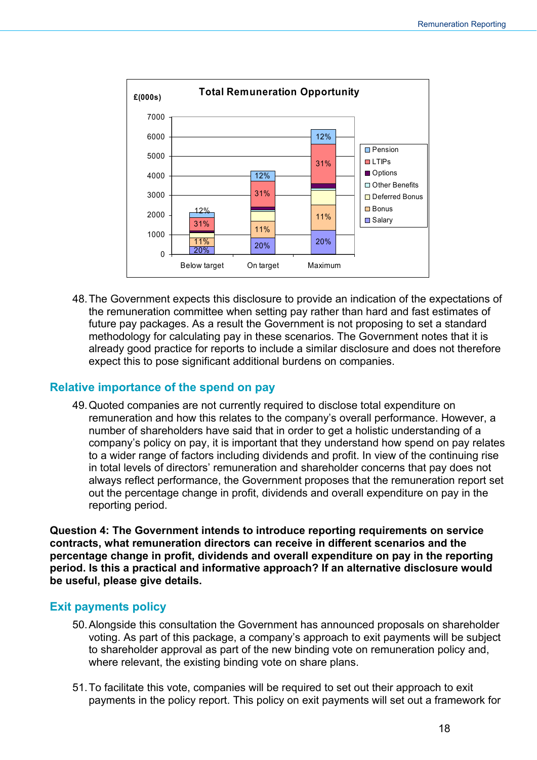

48. The Government expects this disclosure to provide an indication of the expectations of the remuneration committee when setting pay rather than hard and fast estimates of future pay packages. As a result the Government is not proposing to set a standard methodology for calculating pay in these scenarios. The Government notes that it is already good practice for reports to include a similar disclosure and does not therefore expect this to pose significant additional burdens on companies.

#### <span id="page-17-0"></span>**Relative importance of the spend on pay**

49. Quoted companies are not currently required to disclose total expenditure on remuneration and how this relates to the company's overall performance. However, a number of shareholders have said that in order to get a holistic understanding of a company's policy on pay, it is important that they understand how spend on pay relates to a wider range of factors including dividends and profit. In view of the continuing rise in total levels of directors' remuneration and shareholder concerns that pay does not always reflect performance, the Government proposes that the remuneration report set out the percentage change in profit, dividends and overall expenditure on pay in the reporting period.

**Question 4: The Government intends to introduce reporting requirements on service contracts, what remuneration directors can receive in different scenarios and the percentage change in profit, dividends and overall expenditure on pay in the reporting period. Is this a practical and informative approach? If an alternative disclosure would be useful, please give details.** 

#### <span id="page-17-1"></span>**Exit payments policy**

- 50. Alongside this consultation the Government has announced proposals on shareholder voting. As part of this package, a company's approach to exit payments will be subject to shareholder approval as part of the new binding vote on remuneration policy and, where relevant, the existing binding vote on share plans.
- <span id="page-17-2"></span>51. To facilitate this vote, companies will be required to set out their approach to exit payments in the policy report. This policy on exit payments will set out a framework for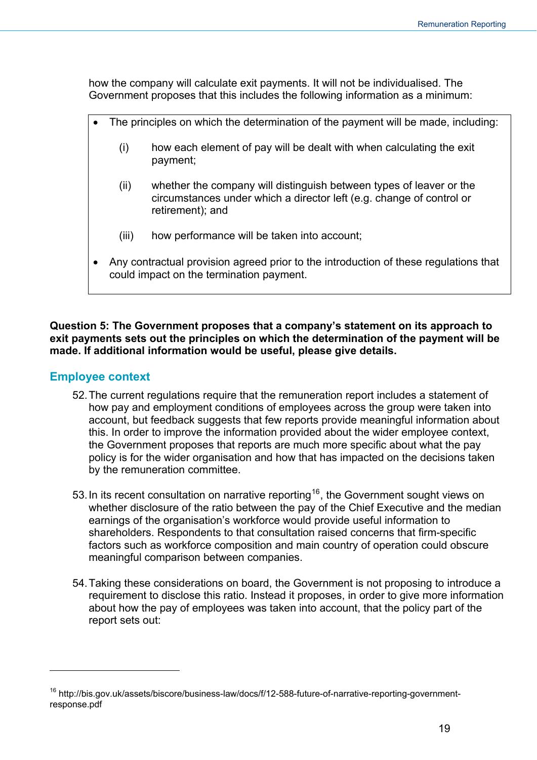how the company will calculate exit payments. It will not be individualised. The Government proposes that this includes the following information as a minimum:

 The principles on which the determination of the payment will be made, including: (i) how each element of pay will be dealt with when calculating the exit payment; (ii) whether the company will distinguish between types of leaver or the circumstances under which a director left (e.g. change of control or retirement); and (iii) how performance will be taken into account; Any contractual provision agreed prior to the introduction of these regulations that could impact on the termination payment.

**Question 5: The Government proposes that a company's statement on its approach to exit payments sets out the principles on which the determination of the payment will be made. If additional information would be useful, please give details.** 

## <span id="page-18-0"></span>**Employee context**

- 52. The current regulations require that the remuneration report includes a statement of how pay and employment conditions of employees across the group were taken into account, but feedback suggests that few reports provide meaningful information about this. In order to improve the information provided about the wider employee context, the Government proposes that reports are much more specific about what the pay policy is for the wider organisation and how that has impacted on the decisions taken by the remuneration committee.
- 53. In its recent consultation on narrative reporting<sup>[16](#page-19-1)</sup>, the Government sought views on whether disclosure of the ratio between the pay of the Chief Executive and the median earnings of the organisation's workforce would provide useful information to shareholders. Respondents to that consultation raised concerns that firm-specific factors such as workforce composition and main country of operation could obscure meaningful comparison between companies.
- 54. Taking these considerations on board, the Government is not proposing to introduce a requirement to disclose this ratio. Instead it proposes, in order to give more information about how the pay of employees was taken into account, that the policy part of the report sets out:

<sup>&</sup>lt;sup>16</sup> http://bis.gov.uk/assets/biscore/business-law/docs/f/12-588-future-of-narrative-reporting-governmentresponse.pdf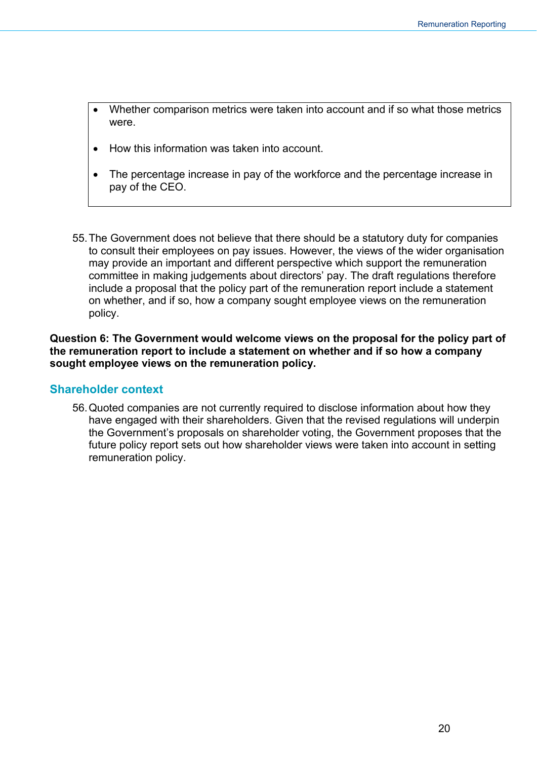- Whether comparison metrics were taken into account and if so what those metrics were.
- How this information was taken into account.
- The percentage increase in pay of the workforce and the percentage increase in pay of the CEO.
- 55. The Government does not believe that there should be a statutory duty for companies to consult their employees on pay issues. However, the views of the wider organisation may provide an important and different perspective which support the remuneration committee in making judgements about directors' pay. The draft regulations therefore include a proposal that the policy part of the remuneration report include a statement on whether, and if so, how a company sought employee views on the remuneration policy.

**Question 6: The Government would welcome views on the proposal for the policy part of the remuneration report to include a statement on whether and if so how a company sought employee views on the remuneration policy.** 

#### <span id="page-19-0"></span>**Shareholder context**

<span id="page-19-1"></span>56. Quoted companies are not currently required to disclose information about how they have engaged with their shareholders. Given that the revised regulations will underpin the Government's proposals on shareholder voting, the Government proposes that the future policy report sets out how shareholder views were taken into account in setting remuneration policy.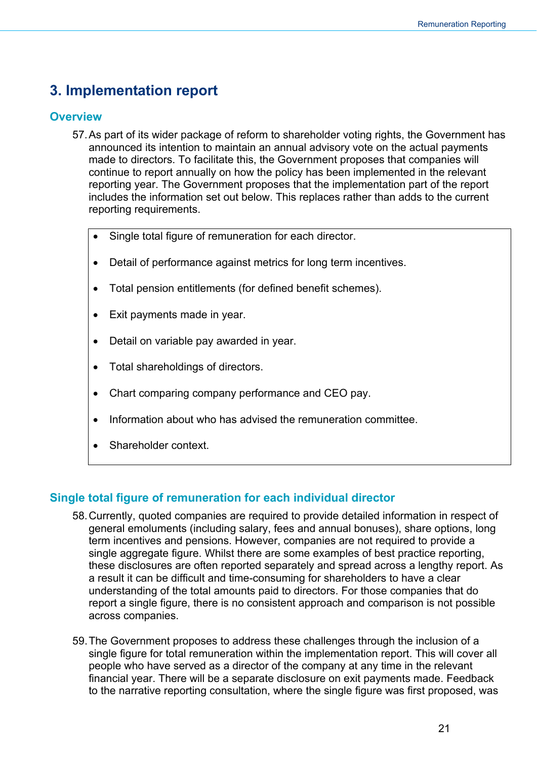# <span id="page-20-0"></span>**3. Implementation report**

## <span id="page-20-1"></span>**Overview**

- 57. As part of its wider package of reform to shareholder voting rights, the Government has announced its intention to maintain an annual advisory vote on the actual payments made to directors. To facilitate this, the Government proposes that companies will continue to report annually on how the policy has been implemented in the relevant reporting year. The Government proposes that the implementation part of the report includes the information set out below. This replaces rather than adds to the current reporting requirements.
	- Single total figure of remuneration for each director.
	- Detail of performance against metrics for long term incentives.
	- Total pension entitlements (for defined benefit schemes).
	- Exit payments made in year.
	- Detail on variable pay awarded in year.
	- Total shareholdings of directors.
	- Chart comparing company performance and CEO pay.
	- Information about who has advised the remuneration committee.
	- Shareholder context.

## <span id="page-20-2"></span>**Single total figure of remuneration for each individual director**

- 58. Currently, quoted companies are required to provide detailed information in respect of general emoluments (including salary, fees and annual bonuses), share options, long term incentives and pensions. However, companies are not required to provide a single aggregate figure. Whilst there are some examples of best practice reporting, these disclosures are often reported separately and spread across a lengthy report. As a result it can be difficult and time-consuming for shareholders to have a clear understanding of the total amounts paid to directors. For those companies that do report a single figure, there is no consistent approach and comparison is not possible across companies.
- 59. The Government proposes to address these challenges through the inclusion of a single figure for total remuneration within the implementation report. This will cover all people who have served as a director of the company at any time in the relevant financial year. There will be a separate disclosure on exit payments made. Feedback to the narrative reporting consultation, where the single figure was first proposed, was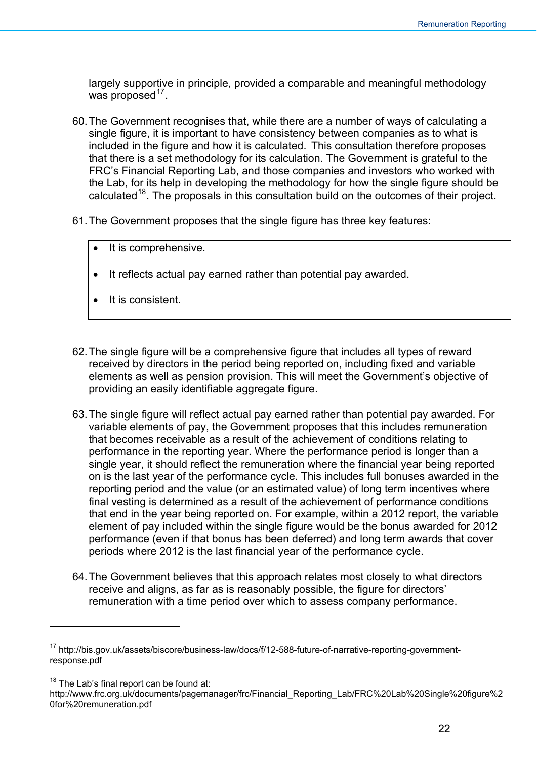largely supportive in principle, provided a comparable and meaningful methodology was proposed $17$ .

- 60. The Government recognises that, while there are a number of ways of calculating a single figure, it is important to have consistency between companies as to what is included in the figure and how it is calculated. This consultation therefore proposes that there is a set methodology for its calculation. The Government is grateful to the FRC's Financial Reporting Lab, and those companies and investors who worked with the Lab, for its help in developing the methodology for how the single figure should be calculated<sup>[18](#page-22-0)</sup>. The proposals in this consultation build on the outcomes of their project.
- 61. The Government proposes that the single figure has three key features:
	- It is comprehensive.
	- It reflects actual pay earned rather than potential pay awarded.
	- It is consistent.
- 62. The single figure will be a comprehensive figure that includes all types of reward received by directors in the period being reported on, including fixed and variable elements as well as pension provision. This will meet the Government's objective of providing an easily identifiable aggregate figure.
- 63. The single figure will reflect actual pay earned rather than potential pay awarded. For variable elements of pay, the Government proposes that this includes remuneration that becomes receivable as a result of the achievement of conditions relating to performance in the reporting year. Where the performance period is longer than a single year, it should reflect the remuneration where the financial year being reported on is the last year of the performance cycle. This includes full bonuses awarded in the reporting period and the value (or an estimated value) of long term incentives where final vesting is determined as a result of the achievement of performance conditions that end in the year being reported on. For example, within a 2012 report, the variable element of pay included within the single figure would be the bonus awarded for 2012 performance (even if that bonus has been deferred) and long term awards that cover periods where 2012 is the last financial year of the performance cycle.
- 64. The Government believes that this approach relates most closely to what directors receive and aligns, as far as is reasonably possible, the figure for directors' remuneration with a time period over which to assess company performance.

 $18$  The Lab's final report can be found at:

<sup>&</sup>lt;sup>17</sup> http://bis.gov.uk/assets/biscore/business-law/docs/f/12-588-future-of-narrative-reporting-governmentresponse.pdf

http://www.frc.org.uk/documents/pagemanager/frc/Financial\_Reporting\_Lab/FRC%20Lab%20Single%20figure%2 0for%20remuneration.pdf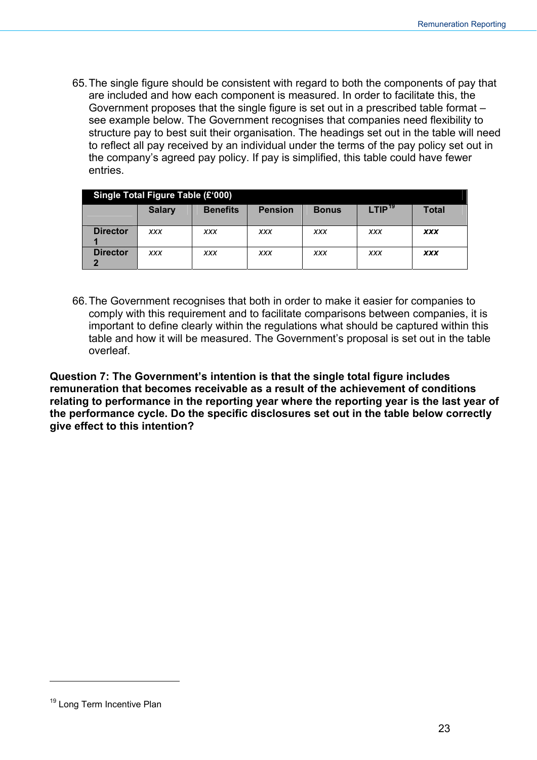65. The single figure should be consistent with regard to both the components of pay that are included and how each component is measured. In order to facilitate this, the Government proposes that the single figure is set out in a prescribed table format – see example below. The Government recognises that companies need flexibility to structure pay to best suit their organisation. The headings set out in the table will need to reflect all pay received by an individual under the terms of the pay policy set out in the company's agreed pay policy. If pay is simplified, this table could have fewer entries.

| Single Total Figure Table (£'000) |               |                 |                |              |                       |              |
|-----------------------------------|---------------|-----------------|----------------|--------------|-----------------------|--------------|
|                                   | <b>Salary</b> | <b>Benefits</b> | <b>Pension</b> | <b>Bonus</b> | $-$ TIP <sup>19</sup> | <b>Total</b> |
| <b>Director</b>                   | <b>XXX</b>    | <b>XXX</b>      | <b>XXX</b>     | <b>XXX</b>   | <b>XXX</b>            | <b>XXX</b>   |
| <b>Director</b><br>$\overline{2}$ | <b>XXX</b>    | <b>XXX</b>      | <b>XXX</b>     | <b>XXX</b>   | <b>XXX</b>            | <b>XXX</b>   |

66. The Government recognises that both in order to make it easier for companies to comply with this requirement and to facilitate comparisons between companies, it is important to define clearly within the regulations what should be captured within this table and how it will be measured. The Government's proposal is set out in the table overleaf.

**Question 7: The Government's intention is that the single total figure includes remuneration that becomes receivable as a result of the achievement of conditions relating to performance in the reporting year where the reporting year is the last year of the performance cycle. Do the specific disclosures set out in the table below correctly give effect to this intention?** 

<span id="page-22-0"></span><sup>&</sup>lt;sup>19</sup> Long Term Incentive Plan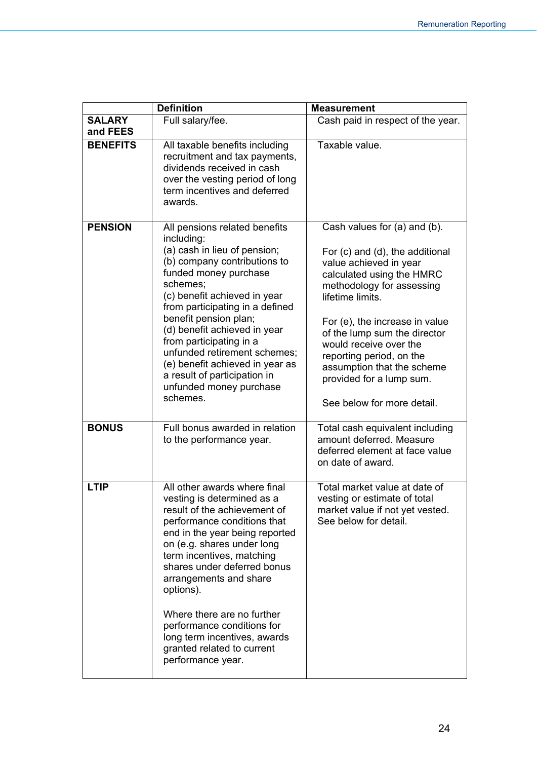<span id="page-23-0"></span>

|                           | <b>Definition</b>                                                                                                                                                                                                                                                                                                                                                                                                                                 | <b>Measurement</b>                                                                                                                                                                                                                                                                                                                                                                      |
|---------------------------|---------------------------------------------------------------------------------------------------------------------------------------------------------------------------------------------------------------------------------------------------------------------------------------------------------------------------------------------------------------------------------------------------------------------------------------------------|-----------------------------------------------------------------------------------------------------------------------------------------------------------------------------------------------------------------------------------------------------------------------------------------------------------------------------------------------------------------------------------------|
| <b>SALARY</b><br>and FEES | Full salary/fee.                                                                                                                                                                                                                                                                                                                                                                                                                                  | Cash paid in respect of the year.                                                                                                                                                                                                                                                                                                                                                       |
| <b>BENEFITS</b>           | All taxable benefits including<br>recruitment and tax payments,<br>dividends received in cash<br>over the vesting period of long<br>term incentives and deferred<br>awards.                                                                                                                                                                                                                                                                       | Taxable value.                                                                                                                                                                                                                                                                                                                                                                          |
| <b>PENSION</b>            | All pensions related benefits<br>including:<br>(a) cash in lieu of pension;<br>(b) company contributions to<br>funded money purchase<br>schemes;<br>(c) benefit achieved in year<br>from participating in a defined<br>benefit pension plan;<br>(d) benefit achieved in year<br>from participating in a<br>unfunded retirement schemes;<br>(e) benefit achieved in year as<br>a result of participation in<br>unfunded money purchase<br>schemes. | Cash values for (a) and (b).<br>For (c) and (d), the additional<br>value achieved in year<br>calculated using the HMRC<br>methodology for assessing<br>lifetime limits.<br>For (e), the increase in value<br>of the lump sum the director<br>would receive over the<br>reporting period, on the<br>assumption that the scheme<br>provided for a lump sum.<br>See below for more detail. |
| <b>BONUS</b>              | Full bonus awarded in relation<br>to the performance year.                                                                                                                                                                                                                                                                                                                                                                                        | Total cash equivalent including<br>amount deferred. Measure<br>deferred element at face value<br>on date of award.                                                                                                                                                                                                                                                                      |
| <b>LTIP</b>               | All other awards where final<br>vesting is determined as a<br>result of the achievement of<br>performance conditions that<br>end in the year being reported<br>on (e.g. shares under long<br>term incentives, matching<br>shares under deferred bonus<br>arrangements and share<br>options).<br>Where there are no further<br>performance conditions for<br>long term incentives, awards<br>granted related to current<br>performance year.       | Total market value at date of<br>vesting or estimate of total<br>market value if not yet vested.<br>See below for detail.                                                                                                                                                                                                                                                               |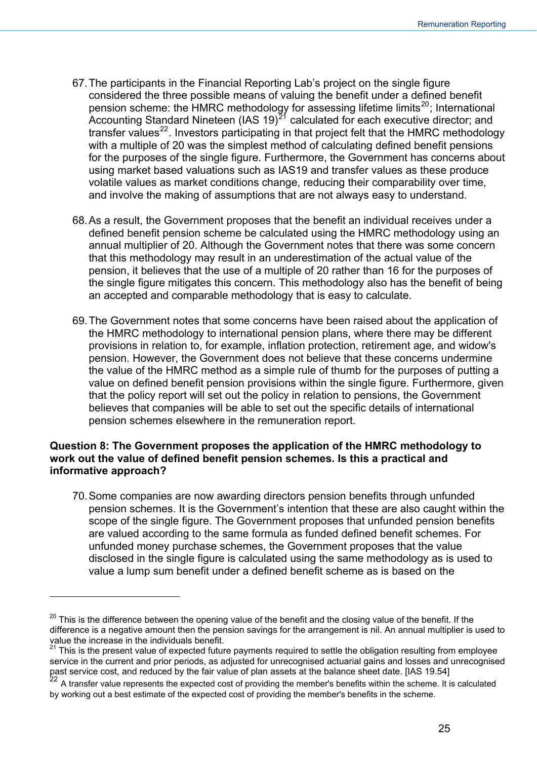- 67. The participants in the Financial Reporting Lab's project on the single figure considered the three possible means of valuing the benefit under a defined benefit pension scheme: the HMRC methodology for assessing lifetime limits<sup>[20](#page-25-1)</sup>; International Accounting Standard Nineteen (IAS 19)<sup>[21](#page-25-2)</sup> calculated for each executive director; and transfer values<sup>[22](#page-25-3)</sup>. Investors participating in that project felt that the HMRC methodology with a multiple of 20 was the simplest method of calculating defined benefit pensions for the purposes of the single figure. Furthermore, the Government has concerns about using market based valuations such as IAS19 and transfer values as these produce volatile values as market conditions change, reducing their comparability over time, and involve the making of assumptions that are not always easy to understand.
- 68. As a result, the Government proposes that the benefit an individual receives under a defined benefit pension scheme be calculated using the HMRC methodology using an annual multiplier of 20. Although the Government notes that there was some concern that this methodology may result in an underestimation of the actual value of the pension, it believes that the use of a multiple of 20 rather than 16 for the purposes of the single figure mitigates this concern. This methodology also has the benefit of being an accepted and comparable methodology that is easy to calculate.
- 69. The Government notes that some concerns have been raised about the application of the HMRC methodology to international pension plans, where there may be different provisions in relation to, for example, inflation protection, retirement age, and widow's pension. However, the Government does not believe that these concerns undermine the value of the HMRC method as a simple rule of thumb for the purposes of putting a value on defined benefit pension provisions within the single figure. Furthermore, given that the policy report will set out the policy in relation to pensions, the Government believes that companies will be able to set out the specific details of international pension schemes elsewhere in the remuneration report.

## **Question 8: The Government proposes the application of the HMRC methodology to work out the value of defined benefit pension schemes. Is this a practical and informative approach?**

70. Some companies are now awarding directors pension benefits through unfunded pension schemes. It is the Government's intention that these are also caught within the scope of the single figure. The Government proposes that unfunded pension benefits are valued according to the same formula as funded defined benefit schemes. For unfunded money purchase schemes, the Government proposes that the value disclosed in the single figure is calculated using the same methodology as is used to value a lump sum benefit under a defined benefit scheme as is based on the

 $^{20}$  This is the difference between the opening value of the benefit and the closing value of the benefit. If the difference is a negative amount then the pension savings for the arrangement is nil. An annual multiplier is used to value the increase in the individuals benefit.

 $21$  This is the present value of expected future payments required to settle the obligation resulting from employee service in the current and prior periods, as adjusted for unrecognised actuarial gains and losses and unrecognised past service cost, and reduced by the fair value of plan assets at the balance sheet date. [IAS 19.54]

<sup>22</sup> A transfer value represents the expected cost of providing the member's benefits within the scheme. It is calculated by working out a best estimate of the expected cost of providing the member's benefits in the scheme.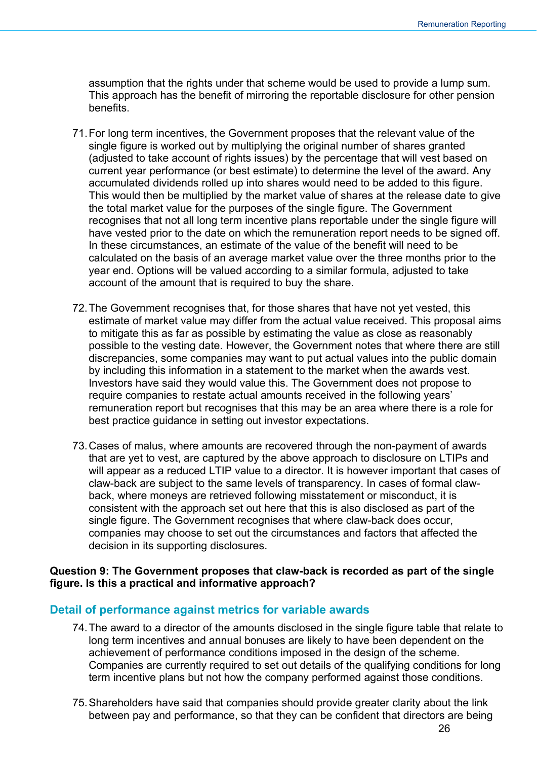assumption that the rights under that scheme would be used to provide a lump sum. This approach has the benefit of mirroring the reportable disclosure for other pension benefits.

- 71.For long term incentives, the Government proposes that the relevant value of the single figure is worked out by multiplying the original number of shares granted (adjusted to take account of rights issues) by the percentage that will vest based on current year performance (or best estimate) to determine the level of the award. Any accumulated dividends rolled up into shares would need to be added to this figure. This would then be multiplied by the market value of shares at the release date to give the total market value for the purposes of the single figure. The Government recognises that not all long term incentive plans reportable under the single figure will have vested prior to the date on which the remuneration report needs to be signed off. In these circumstances, an estimate of the value of the benefit will need to be calculated on the basis of an average market value over the three months prior to the year end. Options will be valued according to a similar formula, adjusted to take account of the amount that is required to buy the share.
- 72. The Government recognises that, for those shares that have not yet vested, this estimate of market value may differ from the actual value received. This proposal aims to mitigate this as far as possible by estimating the value as close as reasonably possible to the vesting date. However, the Government notes that where there are still discrepancies, some companies may want to put actual values into the public domain by including this information in a statement to the market when the awards vest. Investors have said they would value this. The Government does not propose to require companies to restate actual amounts received in the following years' remuneration report but recognises that this may be an area where there is a role for best practice guidance in setting out investor expectations.
- 73. Cases of malus, where amounts are recovered through the non-payment of awards that are yet to vest, are captured by the above approach to disclosure on LTIPs and will appear as a reduced LTIP value to a director. It is however important that cases of claw-back are subject to the same levels of transparency. In cases of formal clawback, where moneys are retrieved following misstatement or misconduct, it is consistent with the approach set out here that this is also disclosed as part of the single figure. The Government recognises that where claw-back does occur, companies may choose to set out the circumstances and factors that affected the decision in its supporting disclosures.

#### **Question 9: The Government proposes that claw-back is recorded as part of the single figure. Is this a practical and informative approach?**

## <span id="page-25-2"></span><span id="page-25-1"></span><span id="page-25-0"></span>**Detail of performance against metrics for variable awards**

- 74. The award to a director of the amounts disclosed in the single figure table that relate to long term incentives and annual bonuses are likely to have been dependent on the achievement of performance conditions imposed in the design of the scheme. Companies are currently required to set out details of the qualifying conditions for long term incentive plans but not how the company performed against those conditions.
- <span id="page-25-3"></span>75. Shareholders have said that companies should provide greater clarity about the link between pay and performance, so that they can be confident that directors are being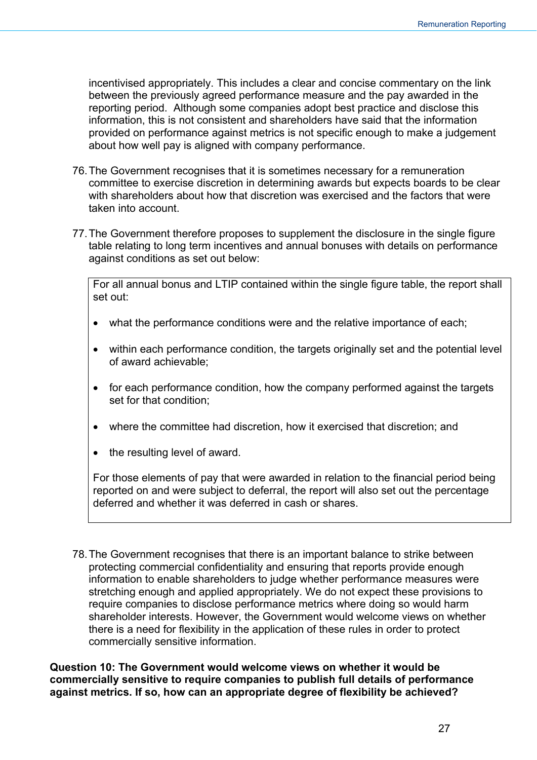incentivised appropriately. This includes a clear and concise commentary on the link between the previously agreed performance measure and the pay awarded in the reporting period. Although some companies adopt best practice and disclose this information, this is not consistent and shareholders have said that the information provided on performance against metrics is not specific enough to make a judgement about how well pay is aligned with company performance.

- 76. The Government recognises that it is sometimes necessary for a remuneration committee to exercise discretion in determining awards but expects boards to be clear with shareholders about how that discretion was exercised and the factors that were taken into account.
- 77. The Government therefore proposes to supplement the disclosure in the single figure table relating to long term incentives and annual bonuses with details on performance against conditions as set out below:

For all annual bonus and LTIP contained within the single figure table, the report shall set out:

- what the performance conditions were and the relative importance of each;
- within each performance condition, the targets originally set and the potential level of award achievable;
- for each performance condition, how the company performed against the targets set for that condition;
- where the committee had discretion, how it exercised that discretion; and
- the resulting level of award.

For those elements of pay that were awarded in relation to the financial period being reported on and were subject to deferral, the report will also set out the percentage deferred and whether it was deferred in cash or shares.

78. The Government recognises that there is an important balance to strike between protecting commercial confidentiality and ensuring that reports provide enough information to enable shareholders to judge whether performance measures were stretching enough and applied appropriately. We do not expect these provisions to require companies to disclose performance metrics where doing so would harm shareholder interests. However, the Government would welcome views on whether there is a need for flexibility in the application of these rules in order to protect commercially sensitive information.

**Question 10: The Government would welcome views on whether it would be commercially sensitive to require companies to publish full details of performance against metrics. If so, how can an appropriate degree of flexibility be achieved?**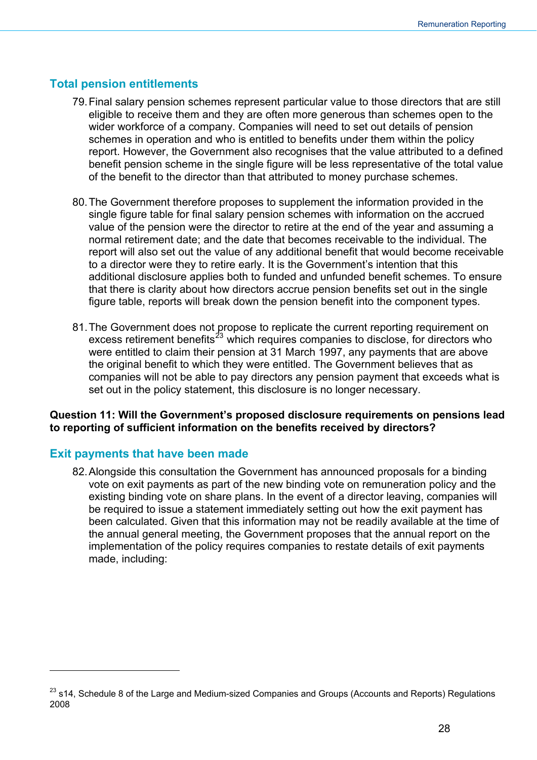## <span id="page-27-0"></span>**Total pension entitlements**

- 79. Final salary pension schemes represent particular value to those directors that are still eligible to receive them and they are often more generous than schemes open to the wider workforce of a company. Companies will need to set out details of pension schemes in operation and who is entitled to benefits under them within the policy report. However, the Government also recognises that the value attributed to a defined benefit pension scheme in the single figure will be less representative of the total value of the benefit to the director than that attributed to money purchase schemes.
- 80. The Government therefore proposes to supplement the information provided in the single figure table for final salary pension schemes with information on the accrued value of the pension were the director to retire at the end of the year and assuming a normal retirement date; and the date that becomes receivable to the individual. The report will also set out the value of any additional benefit that would become receivable to a director were they to retire early. It is the Government's intention that this additional disclosure applies both to funded and unfunded benefit schemes. To ensure that there is clarity about how directors accrue pension benefits set out in the single figure table, reports will break down the pension benefit into the component types.
- 81. The Government does not propose to replicate the current reporting requirement on excess retirement benefits<sup> $23$ </sup> which requires companies to disclose, for directors who were entitled to claim their pension at 31 March 1997, any payments that are above the original benefit to which they were entitled. The Government believes that as companies will not be able to pay directors any pension payment that exceeds what is set out in the policy statement, this disclosure is no longer necessary.

#### **Question 11: Will the Government's proposed disclosure requirements on pensions lead to reporting of sufficient information on the benefits received by directors?**

#### <span id="page-27-1"></span>**Exit payments that have been made**

l

82. Alongside this consultation the Government has announced proposals for a binding vote on exit payments as part of the new binding vote on remuneration policy and the existing binding vote on share plans. In the event of a director leaving, companies will be required to issue a statement immediately setting out how the exit payment has been calculated. Given that this information may not be readily available at the time of the annual general meeting, the Government proposes that the annual report on the implementation of the policy requires companies to restate details of exit payments made, including:

<sup>&</sup>lt;sup>23</sup> s14. Schedule 8 of the Large and Medium-sized Companies and Groups (Accounts and Reports) Regulations 2008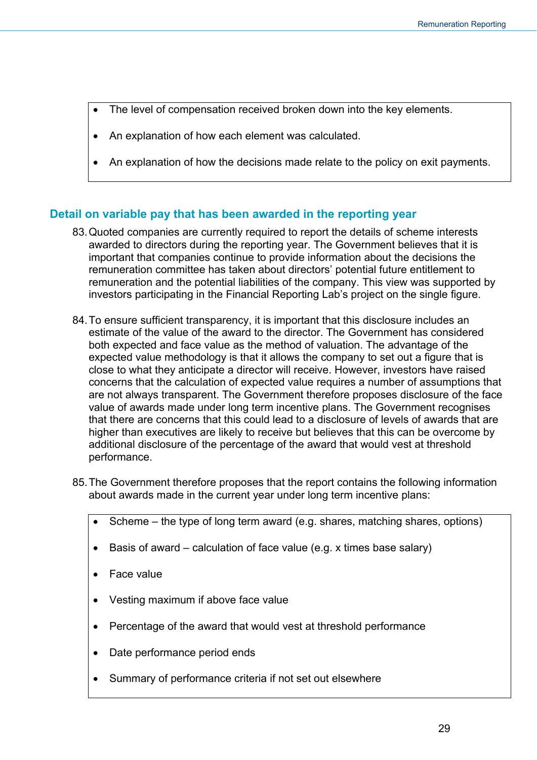- The level of compensation received broken down into the key elements.
- An explanation of how each element was calculated.
- An explanation of how the decisions made relate to the policy on exit payments.

## <span id="page-28-0"></span>**Detail on variable pay that has been awarded in the reporting year**

- 83. Quoted companies are currently required to report the details of scheme interests awarded to directors during the reporting year. The Government believes that it is important that companies continue to provide information about the decisions the remuneration committee has taken about directors' potential future entitlement to remuneration and the potential liabilities of the company. This view was supported by investors participating in the Financial Reporting Lab's project on the single figure.
- 84. To ensure sufficient transparency, it is important that this disclosure includes an estimate of the value of the award to the director. The Government has considered both expected and face value as the method of valuation. The advantage of the expected value methodology is that it allows the company to set out a figure that is close to what they anticipate a director will receive. However, investors have raised concerns that the calculation of expected value requires a number of assumptions that are not always transparent. The Government therefore proposes disclosure of the face value of awards made under long term incentive plans. The Government recognises that there are concerns that this could lead to a disclosure of levels of awards that are higher than executives are likely to receive but believes that this can be overcome by additional disclosure of the percentage of the award that would vest at threshold performance.
- <span id="page-28-1"></span>85. The Government therefore proposes that the report contains the following information about awards made in the current year under long term incentive plans:
	- Scheme the type of long term award (e.g. shares, matching shares, options)
	- Basis of award calculation of face value (e.g. x times base salary)
	- Face value
	- Vesting maximum if above face value
	- Percentage of the award that would vest at threshold performance
	- Date performance period ends
	- Summary of performance criteria if not set out elsewhere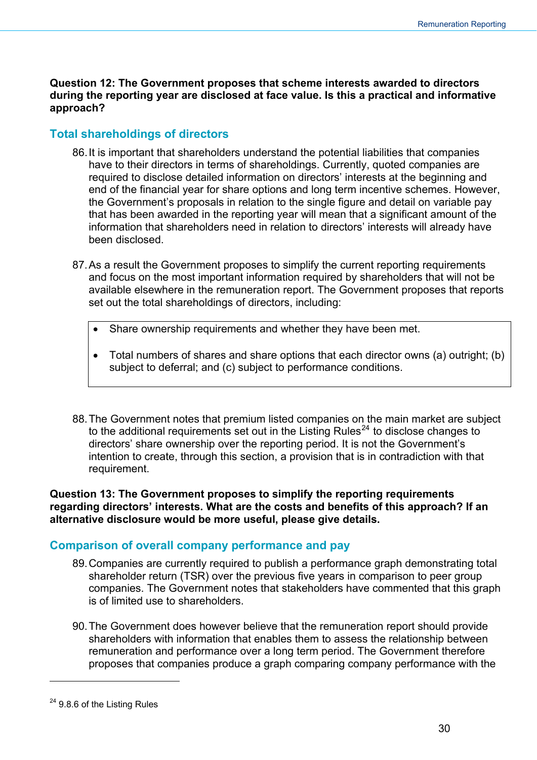**Question 12: The Government proposes that scheme interests awarded to directors during the reporting year are disclosed at face value. Is this a practical and informative approach?** 

# <span id="page-29-0"></span>**Total shareholdings of directors**

- 86. It is important that shareholders understand the potential liabilities that companies have to their directors in terms of shareholdings. Currently, quoted companies are required to disclose detailed information on directors' interests at the beginning and end of the financial year for share options and long term incentive schemes. However, the Government's proposals in relation to the single figure and detail on variable pay that has been awarded in the reporting year will mean that a significant amount of the information that shareholders need in relation to directors' interests will already have been disclosed.
- 87. As a result the Government proposes to simplify the current reporting requirements and focus on the most important information required by shareholders that will not be available elsewhere in the remuneration report. The Government proposes that reports set out the total shareholdings of directors, including:
	- Share ownership requirements and whether they have been met.
	- Total numbers of shares and share options that each director owns (a) outright; (b) subject to deferral; and (c) subject to performance conditions.
- 88. The Government notes that premium listed companies on the main market are subject to the additional requirements set out in the Listing Rules<sup>[24](#page-30-0)</sup> to disclose changes to directors' share ownership over the reporting period. It is not the Government's intention to create, through this section, a provision that is in contradiction with that requirement.

**Question 13: The Government proposes to simplify the reporting requirements regarding directors' interests. What are the costs and benefits of this approach? If an alternative disclosure would be more useful, please give details.** 

## <span id="page-29-1"></span>**Comparison of overall company performance and pay**

- 89. Companies are currently required to publish a performance graph demonstrating total shareholder return (TSR) over the previous five years in comparison to peer group companies. The Government notes that stakeholders have commented that this graph is of limited use to shareholders.
- 90. The Government does however believe that the remuneration report should provide shareholders with information that enables them to assess the relationship between remuneration and performance over a long term period. The Government therefore proposes that companies produce a graph comparing company performance with the

<sup>&</sup>lt;sup>24</sup> 9.8.6 of the Listing Rules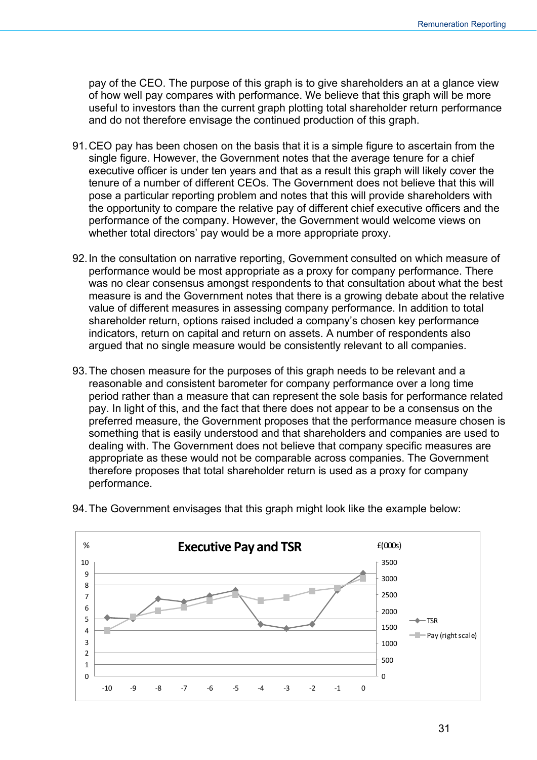pay of the CEO. The purpose of this graph is to give shareholders an at a glance view of how well pay compares with performance. We believe that this graph will be more useful to investors than the current graph plotting total shareholder return performance and do not therefore envisage the continued production of this graph.

- 91.CEO pay has been chosen on the basis that it is a simple figure to ascertain from the single figure. However, the Government notes that the average tenure for a chief executive officer is under ten years and that as a result this graph will likely cover the tenure of a number of different CEOs. The Government does not believe that this will pose a particular reporting problem and notes that this will provide shareholders with the opportunity to compare the relative pay of different chief executive officers and the performance of the company. However, the Government would welcome views on whether total directors' pay would be a more appropriate proxy.
- 92. In the consultation on narrative reporting, Government consulted on which measure of performance would be most appropriate as a proxy for company performance. There was no clear consensus amongst respondents to that consultation about what the best measure is and the Government notes that there is a growing debate about the relative value of different measures in assessing company performance. In addition to total shareholder return, options raised included a company's chosen key performance indicators, return on capital and return on assets. A number of respondents also argued that no single measure would be consistently relevant to all companies.
- 93. The chosen measure for the purposes of this graph needs to be relevant and a reasonable and consistent barometer for company performance over a long time period rather than a measure that can represent the sole basis for performance related pay. In light of this, and the fact that there does not appear to be a consensus on the preferred measure, the Government proposes that the performance measure chosen is something that is easily understood and that shareholders and companies are used to dealing with. The Government does not believe that company specific measures are appropriate as these would not be comparable across companies. The Government therefore proposes that total shareholder return is used as a proxy for company performance.

<span id="page-30-0"></span>

94. The Government envisages that this graph might look like the example below: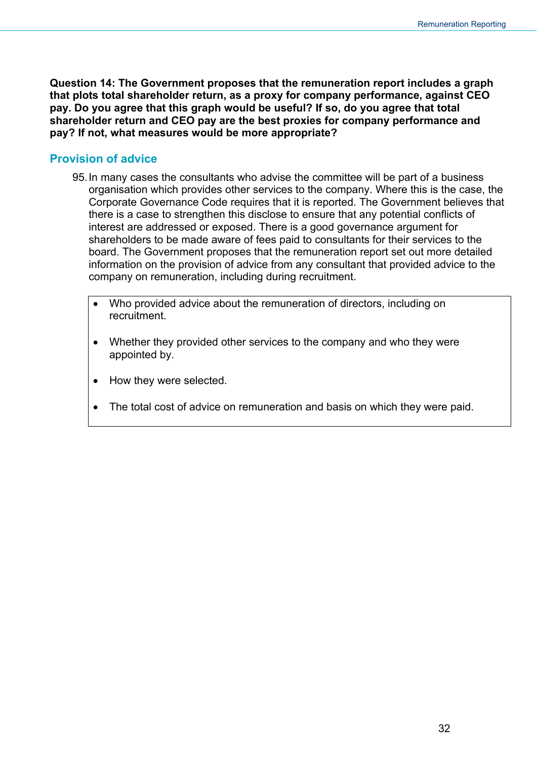**Question 14: The Government proposes that the remuneration report includes a graph that plots total shareholder return, as a proxy for company performance, against CEO pay. Do you agree that this graph would be useful? If so, do you agree that total shareholder return and CEO pay are the best proxies for company performance and pay? If not, what measures would be more appropriate?** 

# <span id="page-31-0"></span>**Provision of advice**

- 95. In many cases the consultants who advise the committee will be part of a business organisation which provides other services to the company. Where this is the case, the Corporate Governance Code requires that it is reported. The Government believes that there is a case to strengthen this disclose to ensure that any potential conflicts of interest are addressed or exposed. There is a good governance argument for shareholders to be made aware of fees paid to consultants for their services to the board. The Government proposes that the remuneration report set out more detailed information on the provision of advice from any consultant that provided advice to the company on remuneration, including during recruitment.
	- Who provided advice about the remuneration of directors, including on recruitment.
	- Whether they provided other services to the company and who they were appointed by.
	- How they were selected.
	- The total cost of advice on remuneration and basis on which they were paid.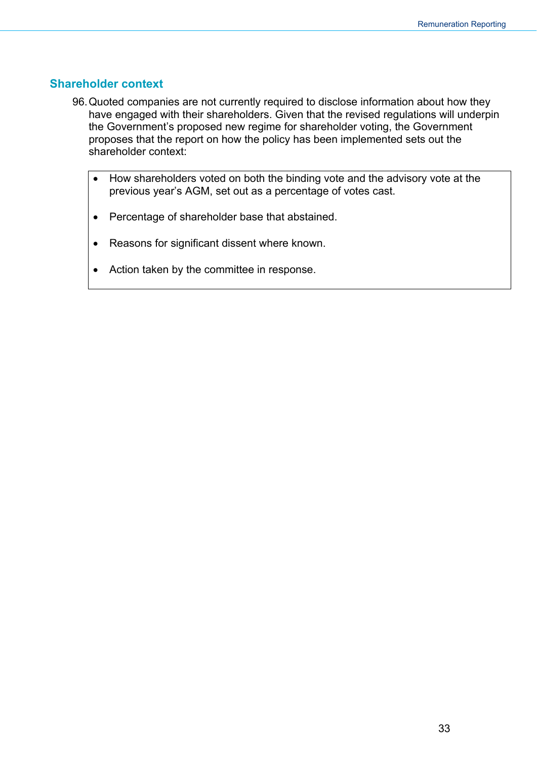## <span id="page-32-0"></span>**Shareholder context**

- 96. Quoted companies are not currently required to disclose information about how they have engaged with their shareholders. Given that the revised regulations will underpin the Government's proposed new regime for shareholder voting, the Government proposes that the report on how the policy has been implemented sets out the shareholder context:
	- How shareholders voted on both the binding vote and the advisory vote at the previous year's AGM, set out as a percentage of votes cast.
	- Percentage of shareholder base that abstained.
	- Reasons for significant dissent where known.
	- Action taken by the committee in response.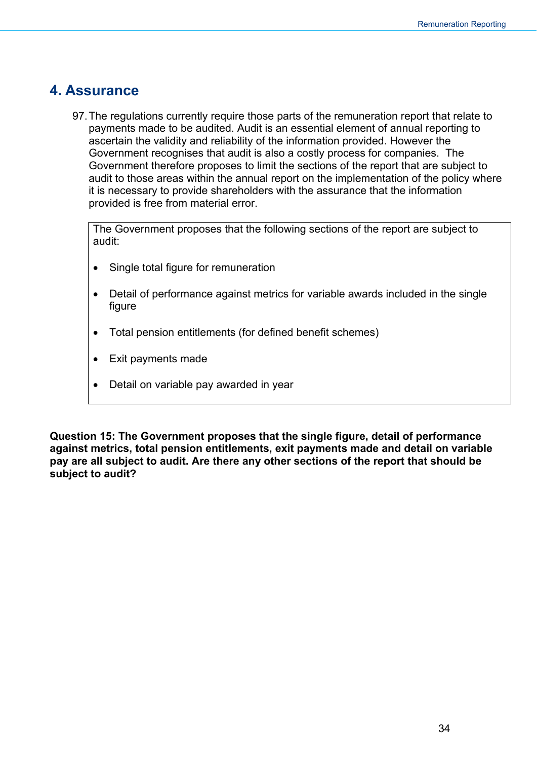# <span id="page-33-0"></span>**4. Assurance**

97. The regulations currently require those parts of the remuneration report that relate to payments made to be audited. Audit is an essential element of annual reporting to ascertain the [validity](http://en.wikipedia.org/wiki/Validity_(statistics)) and [reliability](http://en.wikipedia.org/wiki/Reliability_(statistics)) of the information provided. However the Government recognises that audit is also a costly process for companies. The Government therefore proposes to limit the sections of the report that are subject to audit to those areas within the annual report on the implementation of the policy where it is necessary to provide shareholders with the assurance that the information provided is free from material error.

The Government proposes that the following sections of the report are subject to audit:

- Single total figure for remuneration
- Detail of performance against metrics for variable awards included in the single figure
- Total pension entitlements (for defined benefit schemes)
- Exit payments made
- Detail on variable pay awarded in year

**Question 15: The Government proposes that the single figure, detail of performance against metrics, total pension entitlements, exit payments made and detail on variable pay are all subject to audit. Are there any other sections of the report that should be subject to audit?**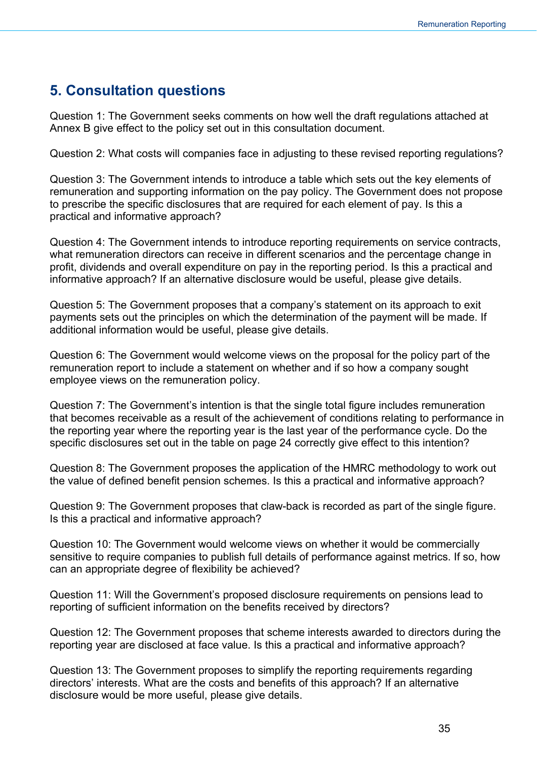# <span id="page-34-0"></span>**5. Consultation questions**

Question 1: The Government seeks comments on how well the draft regulations attached at Annex B give effect to the policy set out in this consultation document.

Question 2: What costs will companies face in adjusting to these revised reporting regulations?

Question 3: The Government intends to introduce a table which sets out the key elements of remuneration and supporting information on the pay policy. The Government does not propose to prescribe the specific disclosures that are required for each element of pay. Is this a practical and informative approach?

Question 4: The Government intends to introduce reporting requirements on service contracts, what remuneration directors can receive in different scenarios and the percentage change in profit, dividends and overall expenditure on pay in the reporting period. Is this a practical and informative approach? If an alternative disclosure would be useful, please give details.

Question 5: The Government proposes that a company's statement on its approach to exit payments sets out the principles on which the determination of the payment will be made. If additional information would be useful, please give details.

Question 6: The Government would welcome views on the proposal for the policy part of the remuneration report to include a statement on whether and if so how a company sought employee views on the remuneration policy.

Question 7: The Government's intention is that the single total figure includes remuneration that becomes receivable as a result of the achievement of conditions relating to performance in the reporting year where the reporting year is the last year of the performance cycle. Do the specific disclosures set out in the table on page 24 correctly give effect to this intention?

Question 8: The Government proposes the application of the HMRC methodology to work out the value of defined benefit pension schemes. Is this a practical and informative approach?

Question 9: The Government proposes that claw-back is recorded as part of the single figure. Is this a practical and informative approach?

Question 10: The Government would welcome views on whether it would be commercially sensitive to require companies to publish full details of performance against metrics. If so, how can an appropriate degree of flexibility be achieved?

Question 11: Will the Government's proposed disclosure requirements on pensions lead to reporting of sufficient information on the benefits received by directors?

Question 12: The Government proposes that scheme interests awarded to directors during the reporting year are disclosed at face value. Is this a practical and informative approach?

Question 13: The Government proposes to simplify the reporting requirements regarding directors' interests. What are the costs and benefits of this approach? If an alternative disclosure would be more useful, please give details.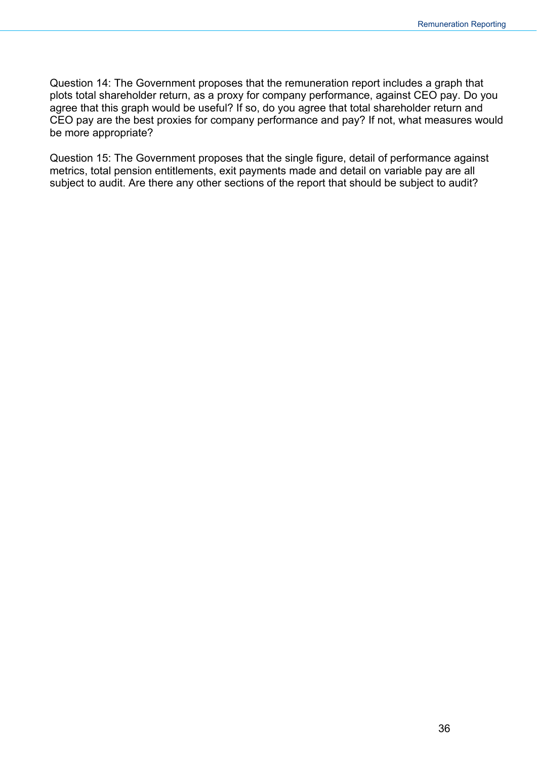Question 14: The Government proposes that the remuneration report includes a graph that plots total shareholder return, as a proxy for company performance, against CEO pay. Do you agree that this graph would be useful? If so, do you agree that total shareholder return and CEO pay are the best proxies for company performance and pay? If not, what measures would be more appropriate?

Question 15: The Government proposes that the single figure, detail of performance against metrics, total pension entitlements, exit payments made and detail on variable pay are all subject to audit. Are there any other sections of the report that should be subject to audit?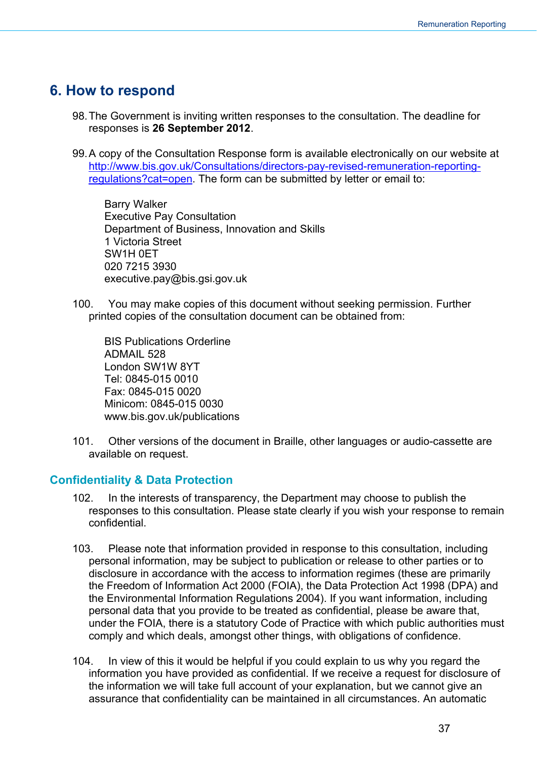# <span id="page-36-0"></span>**6. How to respond**

- 98. The Government is inviting written responses to the consultation. The deadline for responses is **26 September 2012**.
- 99. A copy of the Consultation Response form is available electronically on our website at [http://www.bis.gov.uk/Consultations/directors-pay-revised-remuneration-reporting](http://www.bis.gov.uk/Consultations/directors-pay-revised-remuneration-reporting-regulations?cat=open)[regulations?cat=open](http://www.bis.gov.uk/Consultations/directors-pay-revised-remuneration-reporting-regulations?cat=open). The form can be submitted by letter or email to:

Barry Walker Executive Pay Consultation Department of Business, Innovation and Skills 1 Victoria Street SW1H 0ET 020 7215 3930 executive.pay@bis.gsi.gov.uk

100. You may make copies of this document without seeking permission. Further printed copies of the consultation document can be obtained from:

BIS Publications Orderline ADMAIL 528 London SW1W 8YT Tel: 0845-015 0010 Fax: 0845-015 0020 Minicom: 0845-015 0030 [www.bis.gov.uk/publications](http://www.bis.gov.uk/publications) 

101. Other versions of the document in Braille, other languages or audio-cassette are available on request.

## <span id="page-36-1"></span>**Confidentiality & Data Protection**

- 102. In the interests of transparency, the Department may choose to publish the responses to this consultation. Please state clearly if you wish your response to remain confidential.
- 103. Please note that information provided in response to this consultation, including personal information, may be subject to publication or release to other parties or to disclosure in accordance with the access to information regimes (these are primarily the Freedom of Information Act 2000 (FOIA), the Data Protection Act 1998 (DPA) and the Environmental Information Regulations 2004). If you want information, including personal data that you provide to be treated as confidential, please be aware that, under the FOIA, there is a statutory Code of Practice with which public authorities must comply and which deals, amongst other things, with obligations of confidence.
- 104. In view of this it would be helpful if you could explain to us why you regard the information you have provided as confidential. If we receive a request for disclosure of the information we will take full account of your explanation, but we cannot give an assurance that confidentiality can be maintained in all circumstances. An automatic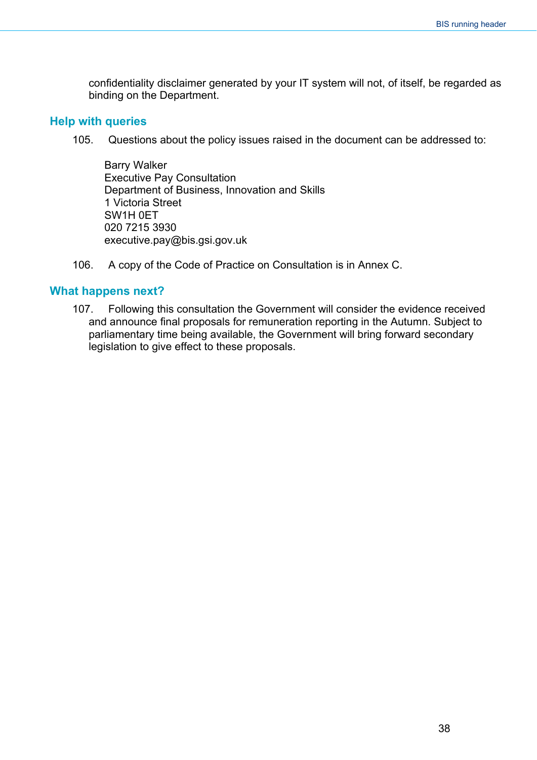confidentiality disclaimer generated by your IT system will not, of itself, be regarded as binding on the Department.

#### <span id="page-37-0"></span>**Help with queries**

105. Questions about the policy issues raised in the document can be addressed to:

Barry Walker Executive Pay Consultation Department of Business, Innovation and Skills 1 Victoria Street SW1H 0ET 020 7215 3930 executive.pay@bis.gsi.gov.uk

106. A copy of the Code of Practice on Consultation is in Annex C.

#### <span id="page-37-1"></span>**What happens next?**

107. Following this consultation the Government will consider the evidence received and announce final proposals for remuneration reporting in the Autumn. Subject to parliamentary time being available, the Government will bring forward secondary legislation to give effect to these proposals.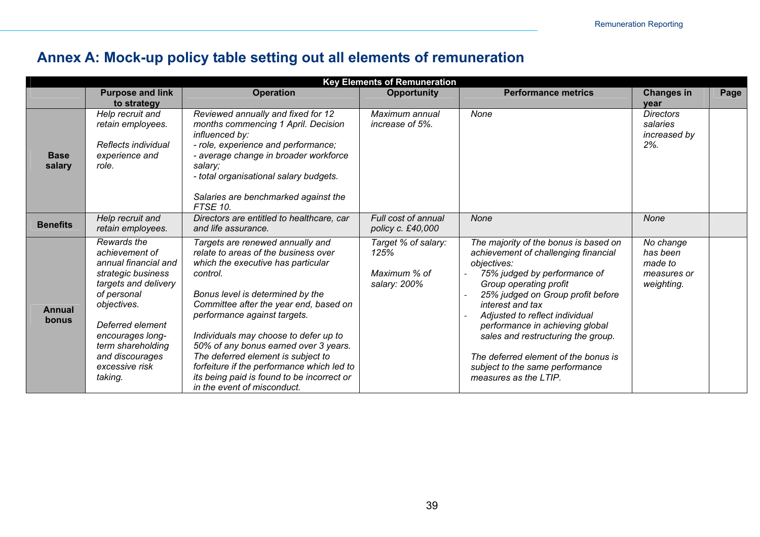# **Annex A: Mock-up policy table setting out all elements of remuneration**

<span id="page-38-0"></span>

| <b>Key Elements of Remuneration</b> |                                                                                                                                                                                                                                                |                                                                                                                                                                                                                                                                                                                                                                                                                                                                                             |                                                             |                                                                                                                                                                                                                                                                                                                                                                                                                                |                                                               |      |  |
|-------------------------------------|------------------------------------------------------------------------------------------------------------------------------------------------------------------------------------------------------------------------------------------------|---------------------------------------------------------------------------------------------------------------------------------------------------------------------------------------------------------------------------------------------------------------------------------------------------------------------------------------------------------------------------------------------------------------------------------------------------------------------------------------------|-------------------------------------------------------------|--------------------------------------------------------------------------------------------------------------------------------------------------------------------------------------------------------------------------------------------------------------------------------------------------------------------------------------------------------------------------------------------------------------------------------|---------------------------------------------------------------|------|--|
|                                     | <b>Purpose and link</b><br>to strategy                                                                                                                                                                                                         | <b>Operation</b>                                                                                                                                                                                                                                                                                                                                                                                                                                                                            | <b>Opportunity</b>                                          | <b>Performance metrics</b>                                                                                                                                                                                                                                                                                                                                                                                                     | <b>Changes in</b><br>vear                                     | Page |  |
| <b>Base</b><br>salary               | Help recruit and<br>retain employees.<br>Reflects individual<br>experience and<br>role.                                                                                                                                                        | Reviewed annually and fixed for 12<br>months commencing 1 April. Decision<br>influenced by:<br>- role, experience and performance;<br>- average change in broader workforce<br>salary;<br>- total organisational salary budgets.<br>Salaries are benchmarked against the<br><b>FTSE 10.</b>                                                                                                                                                                                                 | Maximum annual<br>increase of 5%.                           | None                                                                                                                                                                                                                                                                                                                                                                                                                           | <b>Directors</b><br>salaries<br>increased by<br>2%            |      |  |
| <b>Benefits</b>                     | Help recruit and<br>retain employees.                                                                                                                                                                                                          | Directors are entitled to healthcare, car<br>and life assurance.                                                                                                                                                                                                                                                                                                                                                                                                                            | Full cost of annual<br>policy c. £40,000                    | None                                                                                                                                                                                                                                                                                                                                                                                                                           | None                                                          |      |  |
| <b>Annual</b><br>bonus              | Rewards the<br>achievement of<br>annual financial and<br>strategic business<br>targets and delivery<br>of personal<br>objectives.<br>Deferred element<br>encourages long-<br>term shareholding<br>and discourages<br>excessive risk<br>taking. | Targets are renewed annually and<br>relate to areas of the business over<br>which the executive has particular<br>control.<br>Bonus level is determined by the<br>Committee after the year end, based on<br>performance against targets.<br>Individuals may choose to defer up to<br>50% of any bonus earned over 3 years.<br>The deferred element is subject to<br>forfeiture if the performance which led to<br>its being paid is found to be incorrect or<br>in the event of misconduct. | Target % of salary:<br>125%<br>Maximum % of<br>salary: 200% | The majority of the bonus is based on<br>achievement of challenging financial<br>objectives:<br>75% judged by performance of<br>Group operating profit<br>25% judged on Group profit before<br>interest and tax<br>Adjusted to reflect individual<br>performance in achieving global<br>sales and restructuring the group.<br>The deferred element of the bonus is<br>subject to the same performance<br>measures as the LTIP. | No change<br>has been<br>made to<br>measures or<br>weighting. |      |  |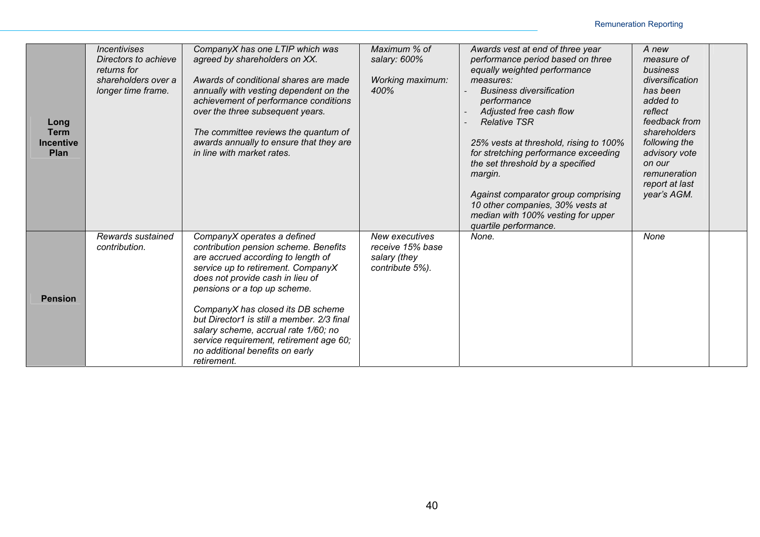| Long<br><b>Term</b><br><b>Incentive</b><br><b>Plan</b> | <i><u><b>Incentivises</b></u></i><br>Directors to achieve<br>returns for<br>shareholders over a<br>longer time frame. | CompanyX has one LTIP which was<br>agreed by shareholders on XX.<br>Awards of conditional shares are made<br>annually with vesting dependent on the<br>achievement of performance conditions<br>over the three subsequent years.<br>The committee reviews the quantum of<br>awards annually to ensure that they are<br>in line with market rates.                                                                                            | Maximum % of<br>salary: 600%<br>Working maximum:<br>400%              | Awards vest at end of three year<br>performance period based on three<br>equally weighted performance<br>measures:<br><b>Business diversification</b><br>performance<br>Adjusted free cash flow<br><b>Relative TSR</b><br>25% vests at threshold, rising to 100%<br>for stretching performance exceeding<br>the set threshold by a specified<br>margin.<br>Against comparator group comprising<br>10 other companies, 30% vests at<br>median with 100% vesting for upper<br>quartile performance. | A new<br>measure of<br>business<br>diversification<br>has been<br>added to<br>reflect<br>feedback from<br>shareholders<br>following the<br>advisory vote<br>on our<br>remuneration<br>report at last<br>year's AGM. |  |
|--------------------------------------------------------|-----------------------------------------------------------------------------------------------------------------------|----------------------------------------------------------------------------------------------------------------------------------------------------------------------------------------------------------------------------------------------------------------------------------------------------------------------------------------------------------------------------------------------------------------------------------------------|-----------------------------------------------------------------------|---------------------------------------------------------------------------------------------------------------------------------------------------------------------------------------------------------------------------------------------------------------------------------------------------------------------------------------------------------------------------------------------------------------------------------------------------------------------------------------------------|---------------------------------------------------------------------------------------------------------------------------------------------------------------------------------------------------------------------|--|
| <b>Pension</b>                                         | Rewards sustained<br>contribution.                                                                                    | CompanyX operates a defined<br>contribution pension scheme. Benefits<br>are accrued according to length of<br>service up to retirement. CompanyX<br>does not provide cash in lieu of<br>pensions or a top up scheme.<br>CompanyX has closed its DB scheme<br>but Director1 is still a member. 2/3 final<br>salary scheme, accrual rate 1/60; no<br>service requirement, retirement age 60;<br>no additional benefits on early<br>retirement. | New executives<br>receive 15% base<br>salary (they<br>contribute 5%). | None.                                                                                                                                                                                                                                                                                                                                                                                                                                                                                             | None                                                                                                                                                                                                                |  |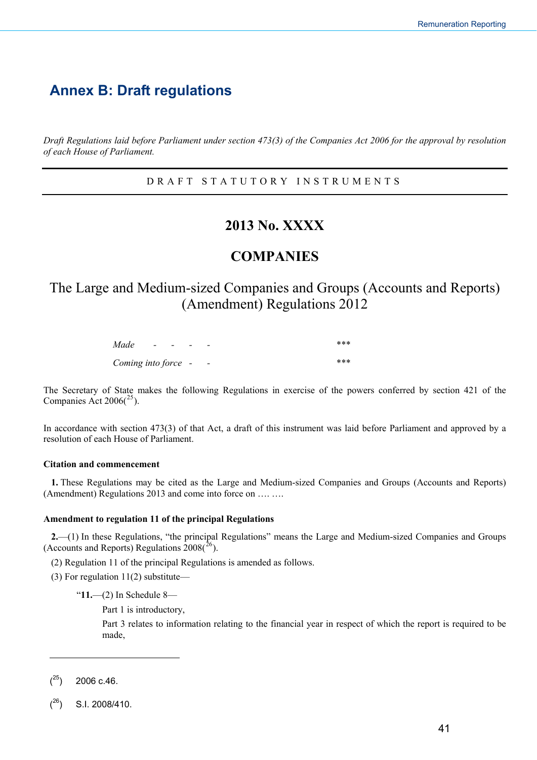# <span id="page-40-0"></span>**Annex B: Draft regulations**

*Draft Regulations laid before Parliament under section 473(3) of the Companies Act 2006 for the approval by resolution of each House of Parliament.* 

#### DRAFT STATUTORY INSTRUMENTS

# **2013 No. XXXX**

# **COMPANIES**

The Large and Medium-sized Companies and Groups (Accounts and Reports) (Amendment) Regulations 2012

> *Made - - - - \*\*\* Coming into force - - \*\*\**

The Secretary of State makes the following Regulations in exercise of the powers conferred by section 421 of the Companies Act  $2006(^{25})$  $2006(^{25})$  $2006(^{25})$ .

In accordance with section 473(3) of that Act, a draft of this instrument was laid before Parliament and approved by a resolution of each House of Parliament.

#### **Citation and commencement**

**1.** These Regulations may be cited as the Large and Medium-sized Companies and Groups (Accounts and Reports) (Amendment) Regulations 2013 and come into force on …. ….

#### **Amendment to regulation 11 of the principal Regulations**

**2.**—(1) In these Regulations, "the principal Regulations" means the Large and Medium-sized Companies and Groups (Accounts and Reports) Regulations  $2008(^{26})$  $2008(^{26})$  $2008(^{26})$ .

(2) Regulation 11 of the principal Regulations is amended as follows.

(3) For regulation 11(2) substitute—

"**11.**—(2) In Schedule 8—

Part 1 is introductory,

Part 3 relates to information relating to the financial year in respect of which the report is required to be made,

 $(25)$ 25) 2006 c.46.

l

 $(26)$ 26) S.I. 2008/410.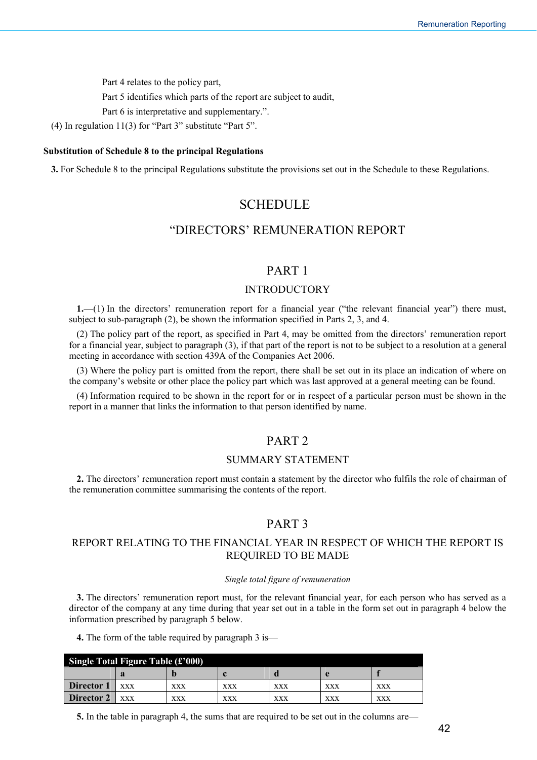Part 4 relates to the policy part,

Part 5 identifies which parts of the report are subject to audit,

Part 6 is interpretative and supplementary.".

(4) In regulation 11(3) for "Part 3" substitute "Part 5".

#### **Substitution of Schedule 8 to the principal Regulations**

**3.** For Schedule 8 to the principal Regulations substitute the provisions set out in the Schedule to these Regulations.

# **SCHEDULE**

## "DIRECTORS' REMUNERATION REPORT

## PART 1

#### **INTRODUCTORY**

**1.**—(1) In the directors' remuneration report for a financial year ("the relevant financial year") there must, subject to sub-paragraph (2), be shown the information specified in Parts 2, 3, and 4.

(2) The policy part of the report, as specified in Part 4, may be omitted from the directors' remuneration report for a financial year, subject to paragraph (3), if that part of the report is not to be subject to a resolution at a general meeting in accordance with section 439A of the Companies Act 2006.

(3) Where the policy part is omitted from the report, there shall be set out in its place an indication of where on the company's website or other place the policy part which was last approved at a general meeting can be found.

(4) Information required to be shown in the report for or in respect of a particular person must be shown in the report in a manner that links the information to that person identified by name.

#### PART 2

#### SUMMARY STATEMENT

**2.** The directors' remuneration report must contain a statement by the director who fulfils the role of chairman of the remuneration committee summarising the contents of the report.

#### PART 3

#### REPORT RELATING TO THE FINANCIAL YEAR IN RESPECT OF WHICH THE REPORT IS REQUIRED TO BE MADE

#### *Single total figure of remuneration*

**3.** The directors' remuneration report must, for the relevant financial year, for each person who has served as a director of the company at any time during that year set out in a table in the form set out in paragraph 4 below the information prescribed by paragraph 5 below.

**4.** The form of the table required by paragraph 3 is—

<span id="page-41-0"></span>

| Single Total Figure Table $(\pounds 000)$ |            |            |            |            |            |            |
|-------------------------------------------|------------|------------|------------|------------|------------|------------|
|                                           |            |            |            |            |            |            |
| Director 1                                | <b>XXX</b> | XXX        | XXX        | <b>XXX</b> | XXX        | <b>XXX</b> |
| Director 2                                | <b>XXX</b> | <b>XXX</b> | <b>XXX</b> | <b>XXX</b> | <b>XXX</b> | <b>XXX</b> |

<span id="page-41-1"></span>**5.** In the table in paragraph 4, the sums that are required to be set out in the columns are—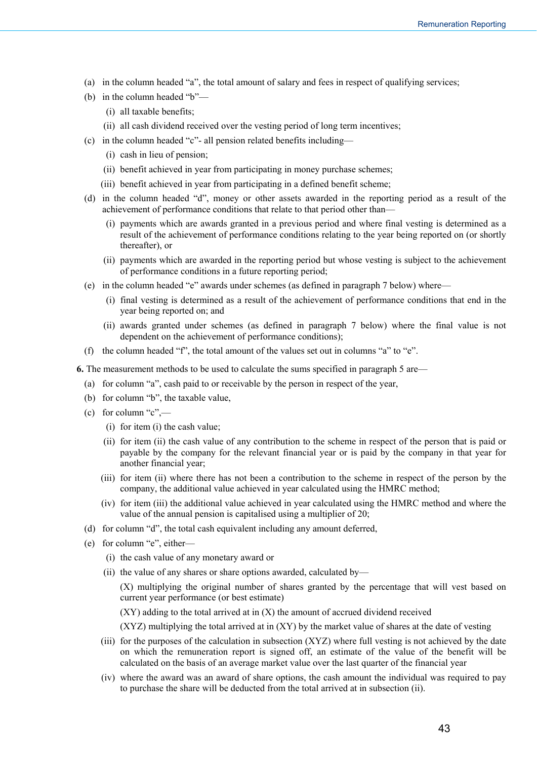- (a) in the column headed "a", the total amount of salary and fees in respect of qualifying services;
- (b) in the column headed "b"—
	- (i) all taxable benefits;
	- (ii) all cash dividend received over the vesting period of long term incentives;
- (c) in the column headed "c"- all pension related benefits including—
	- (i) cash in lieu of pension;
	- (ii) benefit achieved in year from participating in money purchase schemes;
	- (iii) benefit achieved in year from participating in a defined benefit scheme;
- (d) in the column headed "d", money or other assets awarded in the reporting period as a result of the achievement of performance conditions that relate to that period other than—
	- (i) payments which are awards granted in a previous period and where final vesting is determined as a result of the achievement of performance conditions relating to the year being reported on (or shortly thereafter), or
	- (ii) payments which are awarded in the reporting period but whose vesting is subject to the achievement of performance conditions in a future reporting period;
- (e) in the column headed "e" awards under schemes (as defined in paragraph 7 below) where—
	- (i) final vesting is determined as a result of the achievement of performance conditions that end in the year being reported on; and
	- (ii) awards granted under schemes (as defined in paragraph 7 below) where the final value is not dependent on the achievement of performance conditions);
- (f) the column headed "f", the total amount of the values set out in columns "a" to "e".

**6.** The measurement methods to be used to calculate the sums specified in paragraph 5 are—

- (a) for column "a", cash paid to or receivable by the person in respect of the year,
- (b) for column "b", the taxable value,
- (c) for column " $c$ ",—
	- (i) for item (i) the cash value;
	- (ii) for item (ii) the cash value of any contribution to the scheme in respect of the person that is paid or payable by the company for the relevant financial year or is paid by the company in that year for another financial year;
	- (iii) for item (ii) where there has not been a contribution to the scheme in respect of the person by the company, the additional value achieved in year calculated using the HMRC method;
	- (iv) for item (iii) the additional value achieved in year calculated using the HMRC method and where the value of the annual pension is capitalised using a multiplier of 20;
- (d) for column "d", the total cash equivalent including any amount deferred,
- (e) for column "e", either—
	- (i) the cash value of any monetary award or
	- (ii) the value of any shares or share options awarded, calculated by—

(X) multiplying the original number of shares granted by the percentage that will vest based on current year performance (or best estimate)

 $(XY)$  adding to the total arrived at in  $(X)$  the amount of accrued dividend received

(XYZ) multiplying the total arrived at in (XY) by the market value of shares at the date of vesting

- (iii) for the purposes of the calculation in subsection (XYZ) where full vesting is not achieved by the date on which the remuneration report is signed off, an estimate of the value of the benefit will be calculated on the basis of an average market value over the last quarter of the financial year
- (iv) where the award was an award of share options, the cash amount the individual was required to pay to purchase the share will be deducted from the total arrived at in subsection (ii).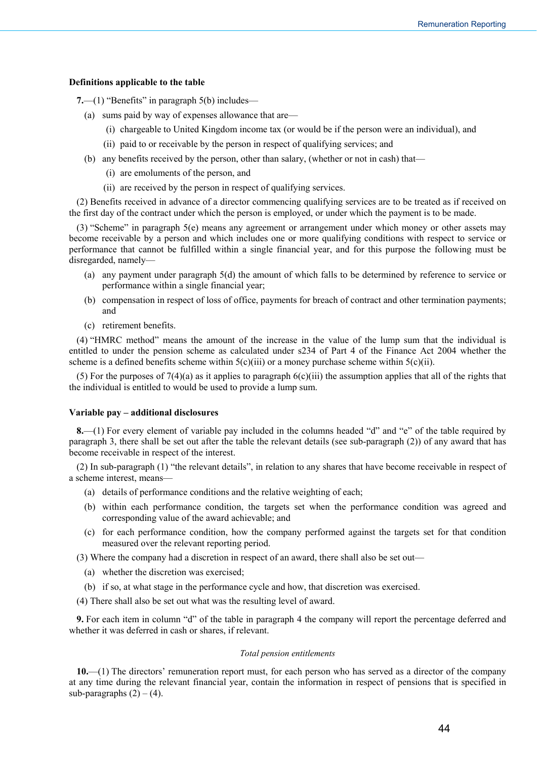#### **Definitions applicable to the table**

**7.**—(1) "Benefits" in paragraph 5(b) includes—

- (a) sums paid by way of expenses allowance that are—
	- (i) chargeable to United Kingdom income tax (or would be if the person were an individual), and
	- (ii) paid to or receivable by the person in respect of qualifying services; and
- (b) any benefits received by the person, other than salary, (whether or not in cash) that—
	- (i) are emoluments of the person, and
	- (ii) are received by the person in respect of qualifying services.

(2) Benefits received in advance of a director commencing qualifying services are to be treated as if received on the first day of the contract under which the person is employed, or under which the payment is to be made.

(3) "Scheme" in paragraph 5(e) means any agreement or arrangement under which money or other assets may become receivable by a person and which includes one or more qualifying conditions with respect to service or performance that cannot be fulfilled within a single financial year, and for this purpose the following must be disregarded, namely—

- (a) any payment under paragraph 5(d) the amount of which falls to be determined by reference to service or performance within a single financial year;
- (b) compensation in respect of loss of office, payments for breach of contract and other termination payments; and
- (c) retirement benefits.

(4) "HMRC method" means the amount of the increase in the value of the lump sum that the individual is entitled to under the pension scheme as calculated under s234 of Part 4 of the Finance Act 2004 whether the scheme is a defined benefits scheme within  $5(c)(iii)$  or a money purchase scheme within  $5(c)(ii)$ .

(5) For the purposes of  $7(4)(a)$  as it applies to paragraph  $6(c)(iii)$  the assumption applies that all of the rights that the individual is entitled to would be used to provide a lump sum.

#### **Variable pay – additional disclosures**

**8.**—(1) For every element of variable pay included in the columns headed "d" and "e" of the table required by paragraph 3, there shall be set out after the table the relevant details (see sub-paragraph (2)) of any award that has become receivable in respect of the interest.

(2) In sub-paragraph (1) "the relevant details", in relation to any shares that have become receivable in respect of a scheme interest, means—

- (a) details of performance conditions and the relative weighting of each;
- (b) within each performance condition, the targets set when the performance condition was agreed and corresponding value of the award achievable; and
- (c) for each performance condition, how the company performed against the targets set for that condition measured over the relevant reporting period.

(3) Where the company had a discretion in respect of an award, there shall also be set out—

- (a) whether the discretion was exercised;
- (b) if so, at what stage in the performance cycle and how, that discretion was exercised.

(4) There shall also be set out what was the resulting level of award.

**9.** For each item in column "d" of the table in paragraph 4 the company will report the percentage deferred and whether it was deferred in cash or shares, if relevant.

#### *Total pension entitlements*

**10.**—(1) The directors' remuneration report must, for each person who has served as a director of the company at any time during the relevant financial year, contain the information in respect of pensions that is specified in sub-paragraphs  $(2) - (4)$ .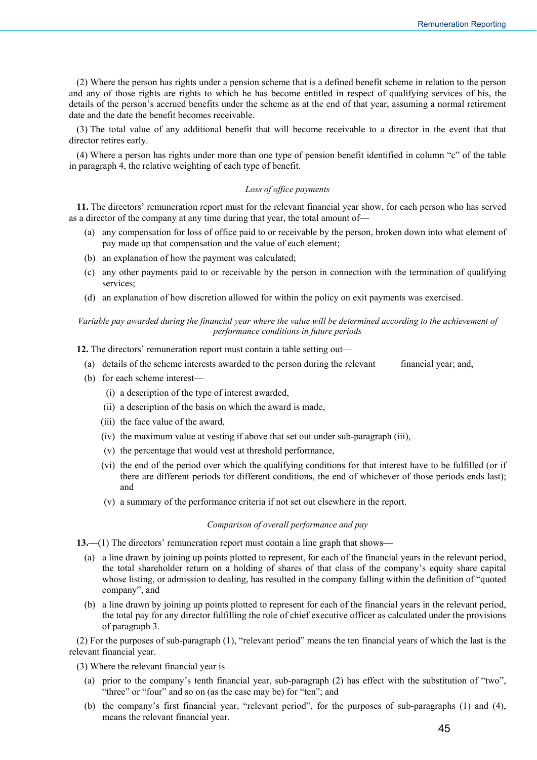(2) Where the person has rights under a pension scheme that is a defined benefit scheme in relation to the person and any of those rights are rights to which he has become entitled in respect of qualifying services of his, the details of the person's accrued benefits under the scheme as at the end of that year, assuming a normal retirement date and the date the benefit becomes receivable.

(3) The total value of any additional benefit that will become receivable to a director in the event that that director retires early.

(4) Where a person has rights under more than one type of pension benefit identified in column "c" of the table in paragraph 4, the relative weighting of each type of benefit.

#### *Loss of office payments*

**11.** The directors' remuneration report must for the relevant financial year show, for each person who has served as a director of the company at any time during that year, the total amount of—

- (a) any compensation for loss of office paid to or receivable by the person, broken down into what element of pay made up that compensation and the value of each element;
- (b) an explanation of how the payment was calculated;
- (c) any other payments paid to or receivable by the person in connection with the termination of qualifying services;
- (d) an explanation of how discretion allowed for within the policy on exit payments was exercised.

#### *Variable pay awarded during the financial year where the value will be determined according to the achievement of performance conditions in future periods*

**12.** The directors' remuneration report must contain a table setting out—

- (a) details of the scheme interests awarded to the person during the relevant financial year; and,
- (b) for each scheme interest—
	- (i) a description of the type of interest awarded,
	- (ii) a description of the basis on which the award is made,
	- (iii) the face value of the award,
	- (iv) the maximum value at vesting if above that set out under sub-paragraph (iii),
	- (v) the percentage that would vest at threshold performance,
	- (vi) the end of the period over which the qualifying conditions for that interest have to be fulfilled (or if there are different periods for different conditions, the end of whichever of those periods ends last); and
	- (v) a summary of the performance criteria if not set out elsewhere in the report.

#### *Comparison of overall performance and pay*

**13.**—(1) The directors' remuneration report must contain a line graph that shows—

- (a) a line drawn by joining up points plotted to represent, for each of the financial years in the relevant period, the total shareholder return on a holding of shares of that class of the company's equity share capital whose listing, or admission to dealing, has resulted in the company falling within the definition of "quoted company", and
- (b) a line drawn by joining up points plotted to represent for each of the financial years in the relevant period, the total pay for any director fulfilling the role of chief executive officer as calculated under the provisions of paragraph 3.

(2) For the purposes of sub-paragraph (1), "relevant period" means the ten financial years of which the last is the relevant financial year.

(3) Where the relevant financial year is—

- (a) prior to the company's tenth financial year, sub-paragraph (2) has effect with the substitution of "two", "three" or "four" and so on (as the case may be) for "ten"; and
- (b) the company's first financial year, "relevant period", for the purposes of sub-paragraphs (1) and (4), means the relevant financial year.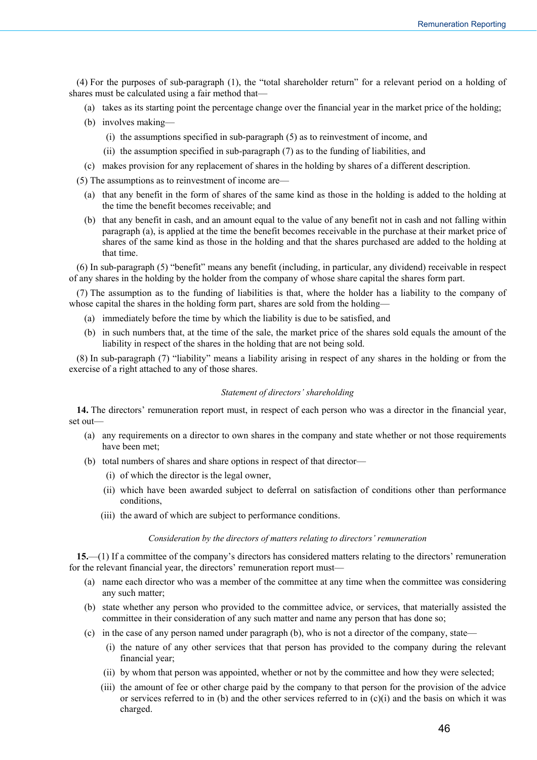(4) For the purposes of sub-paragraph (1), the "total shareholder return" for a relevant period on a holding of shares must be calculated using a fair method that—

(a) takes as its starting point the percentage change over the financial year in the market price of the holding;

- (b) involves making—
	- (i) the assumptions specified in sub-paragraph (5) as to reinvestment of income, and
	- (ii) the assumption specified in sub-paragraph (7) as to the funding of liabilities, and
- (c) makes provision for any replacement of shares in the holding by shares of a different description.

(5) The assumptions as to reinvestment of income are—

- (a) that any benefit in the form of shares of the same kind as those in the holding is added to the holding at the time the benefit becomes receivable; and
- (b) that any benefit in cash, and an amount equal to the value of any benefit not in cash and not falling within paragraph (a), is applied at the time the benefit becomes receivable in the purchase at their market price of shares of the same kind as those in the holding and that the shares purchased are added to the holding at that time.

(6) In sub-paragraph (5) "benefit" means any benefit (including, in particular, any dividend) receivable in respect of any shares in the holding by the holder from the company of whose share capital the shares form part.

(7) The assumption as to the funding of liabilities is that, where the holder has a liability to the company of whose capital the shares in the holding form part, shares are sold from the holding—

- (a) immediately before the time by which the liability is due to be satisfied, and
- (b) in such numbers that, at the time of the sale, the market price of the shares sold equals the amount of the liability in respect of the shares in the holding that are not being sold.

(8) In sub-paragraph (7) "liability" means a liability arising in respect of any shares in the holding or from the exercise of a right attached to any of those shares.

#### *Statement of directors' shareholding*

**14.** The directors' remuneration report must, in respect of each person who was a director in the financial year, set out—

- (a) any requirements on a director to own shares in the company and state whether or not those requirements have been met:
- (b) total numbers of shares and share options in respect of that director—
	- (i) of which the director is the legal owner,
	- (ii) which have been awarded subject to deferral on satisfaction of conditions other than performance conditions,
	- (iii) the award of which are subject to performance conditions.

#### *Consideration by the directors of matters relating to directors' remuneration*

**15.**—(1) If a committee of the company's directors has considered matters relating to the directors' remuneration for the relevant financial year, the directors' remuneration report must—

- (a) name each director who was a member of the committee at any time when the committee was considering any such matter;
- (b) state whether any person who provided to the committee advice, or services, that materially assisted the committee in their consideration of any such matter and name any person that has done so;
- (c) in the case of any person named under paragraph (b), who is not a director of the company, state—
	- (i) the nature of any other services that that person has provided to the company during the relevant financial year;
	- (ii) by whom that person was appointed, whether or not by the committee and how they were selected;
	- (iii) the amount of fee or other charge paid by the company to that person for the provision of the advice or services referred to in (b) and the other services referred to in  $(c)(i)$  and the basis on which it was charged.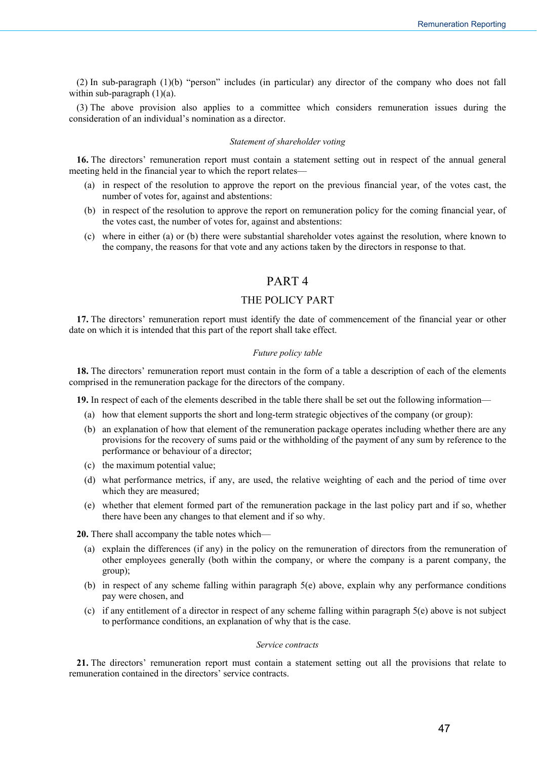(2) In sub-paragraph (1)(b) "person" includes (in particular) any director of the company who does not fall within sub-paragraph  $(1)(a)$ .

(3) The above provision also applies to a committee which considers remuneration issues during the consideration of an individual's nomination as a director.

#### *Statement of shareholder voting*

**16.** The directors' remuneration report must contain a statement setting out in respect of the annual general meeting held in the financial year to which the report relates—

- (a) in respect of the resolution to approve the report on the previous financial year, of the votes cast, the number of votes for, against and abstentions:
- (b) in respect of the resolution to approve the report on remuneration policy for the coming financial year, of the votes cast, the number of votes for, against and abstentions:
- (c) where in either (a) or (b) there were substantial shareholder votes against the resolution, where known to the company, the reasons for that vote and any actions taken by the directors in response to that.

#### PART 4

#### THE POLICY PART

**17.** The directors' remuneration report must identify the date of commencement of the financial year or other date on which it is intended that this part of the report shall take effect.

#### *Future policy table*

**18.** The directors' remuneration report must contain in the form of a table a description of each of the elements comprised in the remuneration package for the directors of the company.

**19.** In respect of each of the elements described in the table there shall be set out the following information—

- (a) how that element supports the short and long-term strategic objectives of the company (or group):
- (b) an explanation of how that element of the remuneration package operates including whether there are any provisions for the recovery of sums paid or the withholding of the payment of any sum by reference to the performance or behaviour of a director;
- (c) the maximum potential value;
- (d) what performance metrics, if any, are used, the relative weighting of each and the period of time over which they are measured;
- (e) whether that element formed part of the remuneration package in the last policy part and if so, whether there have been any changes to that element and if so why.

**20.** There shall accompany the table notes which—

- (a) explain the differences (if any) in the policy on the remuneration of directors from the remuneration of other employees generally (both within the company, or where the company is a parent company, the group);
- (b) in respect of any scheme falling within paragraph 5(e) above, explain why any performance conditions pay were chosen, and
- (c) if any entitlement of a director in respect of any scheme falling within paragraph 5(e) above is not subject to performance conditions, an explanation of why that is the case.

#### *Service contracts*

**21.** The directors' remuneration report must contain a statement setting out all the provisions that relate to remuneration contained in the directors' service contracts.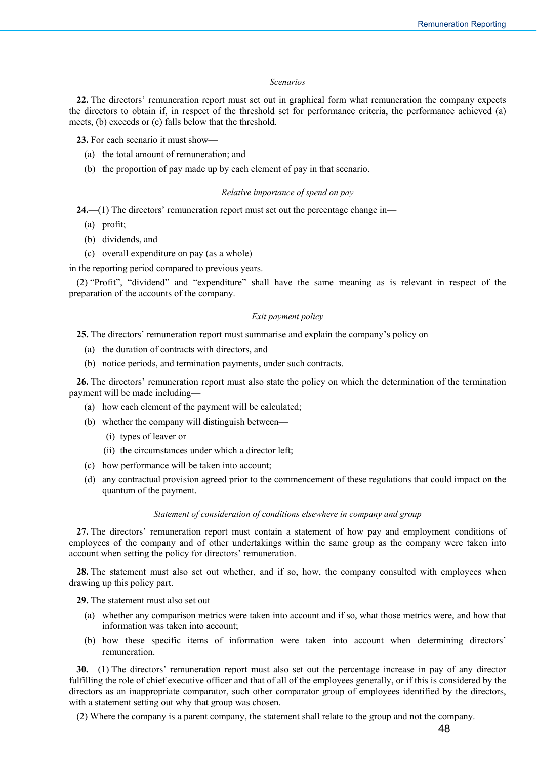#### *Scenarios*

**22.** The directors' remuneration report must set out in graphical form what remuneration the company expects the directors to obtain if, in respect of the threshold set for performance criteria, the performance achieved (a) meets, (b) exceeds or (c) falls below that the threshold.

**23.** For each scenario it must show—

- (a) the total amount of remuneration; and
- (b) the proportion of pay made up by each element of pay in that scenario.

#### *Relative importance of spend on pay*

**24.**—(1) The directors' remuneration report must set out the percentage change in—

- (a) profit;
- (b) dividends, and
- (c) overall expenditure on pay (as a whole)

in the reporting period compared to previous years.

(2) "Profit", "dividend" and "expenditure" shall have the same meaning as is relevant in respect of the preparation of the accounts of the company.

#### *Exit payment policy*

**25.** The directors' remuneration report must summarise and explain the company's policy on—

- (a) the duration of contracts with directors, and
- (b) notice periods, and termination payments, under such contracts.

**26.** The directors' remuneration report must also state the policy on which the determination of the termination payment will be made including—

- (a) how each element of the payment will be calculated;
- (b) whether the company will distinguish between—
	- (i) types of leaver or
	- (ii) the circumstances under which a director left;
- (c) how performance will be taken into account;
- (d) any contractual provision agreed prior to the commencement of these regulations that could impact on the quantum of the payment.

#### *Statement of consideration of conditions elsewhere in company and group*

**27.** The directors' remuneration report must contain a statement of how pay and employment conditions of employees of the company and of other undertakings within the same group as the company were taken into account when setting the policy for directors' remuneration.

**28.** The statement must also set out whether, and if so, how, the company consulted with employees when drawing up this policy part.

**29.** The statement must also set out—

- (a) whether any comparison metrics were taken into account and if so, what those metrics were, and how that information was taken into account;
- (b) how these specific items of information were taken into account when determining directors' remuneration.

**30.**—(1) The directors' remuneration report must also set out the percentage increase in pay of any director fulfilling the role of chief executive officer and that of all of the employees generally, or if this is considered by the directors as an inappropriate comparator, such other comparator group of employees identified by the directors, with a statement setting out why that group was chosen.

(2) Where the company is a parent company, the statement shall relate to the group and not the company.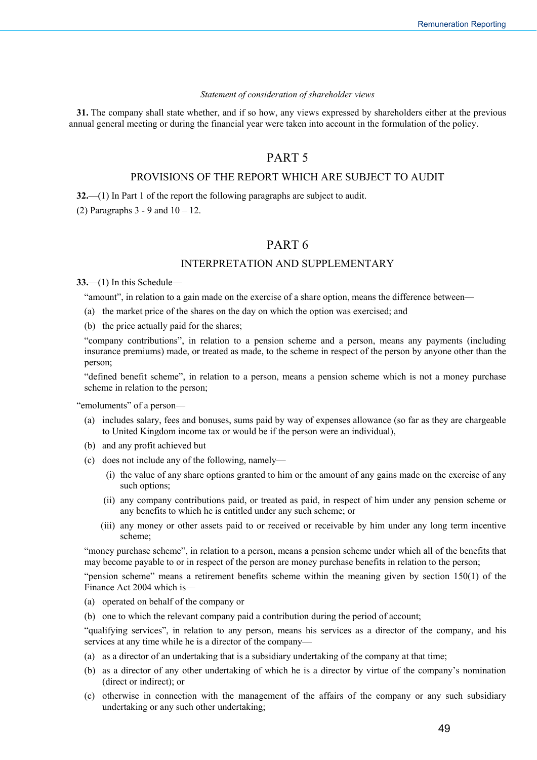#### *Statement of consideration of shareholder views*

**31.** The company shall state whether, and if so how, any views expressed by shareholders either at the previous annual general meeting or during the financial year were taken into account in the formulation of the policy.

#### PART 5

#### PROVISIONS OF THE REPORT WHICH ARE SUBJECT TO AUDIT

**32.**—(1) In Part 1 of the report the following paragraphs are subject to audit.

(2) Paragraphs  $3 - 9$  and  $10 - 12$ .

# PART 6

#### INTERPRETATION AND SUPPLEMENTARY

**33.**—(1) In this Schedule—

"amount", in relation to a gain made on the exercise of a share option, means the difference between—

- (a) the market price of the shares on the day on which the option was exercised; and
- (b) the price actually paid for the shares;

"company contributions", in relation to a pension scheme and a person, means any payments (including insurance premiums) made, or treated as made, to the scheme in respect of the person by anyone other than the person;

"defined benefit scheme", in relation to a person, means a pension scheme which is not a money purchase scheme in relation to the person;

"emoluments" of a person—

- (a) includes salary, fees and bonuses, sums paid by way of expenses allowance (so far as they are chargeable to United Kingdom income tax or would be if the person were an individual),
- (b) and any profit achieved but
- (c) does not include any of the following, namely—
	- (i) the value of any share options granted to him or the amount of any gains made on the exercise of any such options;
	- (ii) any company contributions paid, or treated as paid, in respect of him under any pension scheme or any benefits to which he is entitled under any such scheme; or
	- (iii) any money or other assets paid to or received or receivable by him under any long term incentive scheme;

"money purchase scheme", in relation to a person, means a pension scheme under which all of the benefits that may become payable to or in respect of the person are money purchase benefits in relation to the person;

"pension scheme" means a retirement benefits scheme within the meaning given by section 150(1) of the Finance Act 2004 which is—

- (a) operated on behalf of the company or
- (b) one to which the relevant company paid a contribution during the period of account;

"qualifying services", in relation to any person, means his services as a director of the company, and his services at any time while he is a director of the company—

- (a) as a director of an undertaking that is a subsidiary undertaking of the company at that time;
- (b) as a director of any other undertaking of which he is a director by virtue of the company's nomination (direct or indirect); or
- (c) otherwise in connection with the management of the affairs of the company or any such subsidiary undertaking or any such other undertaking;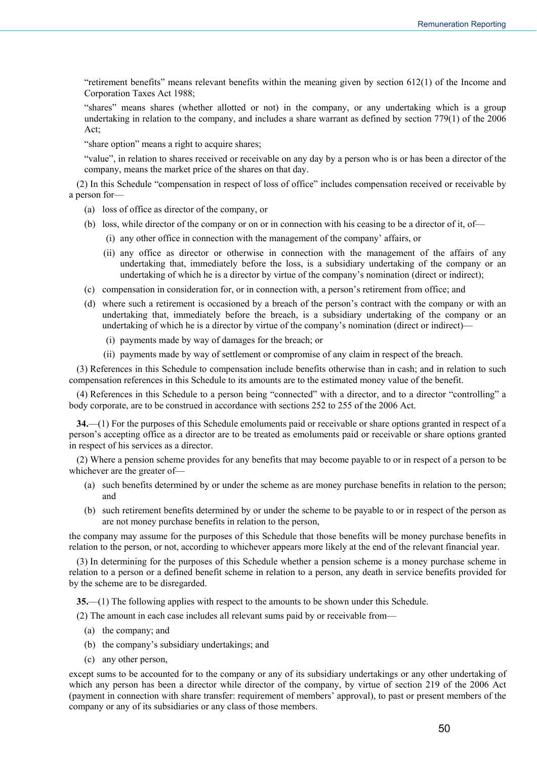"retirement benefits" means relevant benefits within the meaning given by section 612(1) of the Income and Corporation Taxes Act 1988;

"shares" means shares (whether allotted or not) in the company, or any undertaking which is a group undertaking in relation to the company, and includes a share warrant as defined by section 779(1) of the 2006 Act;

"share option" means a right to acquire shares;

"value", in relation to shares received or receivable on any day by a person who is or has been a director of the company, means the market price of the shares on that day.

(2) In this Schedule "compensation in respect of loss of office" includes compensation received or receivable by a person for—

- (a) loss of office as director of the company, or
- (b) loss, while director of the company or on or in connection with his ceasing to be a director of it, of—
	- (i) any other office in connection with the management of the company' affairs, or
	- (ii) any office as director or otherwise in connection with the management of the affairs of any undertaking that, immediately before the loss, is a subsidiary undertaking of the company or an undertaking of which he is a director by virtue of the company's nomination (direct or indirect);
- (c) compensation in consideration for, or in connection with, a person's retirement from office; and
- (d) where such a retirement is occasioned by a breach of the person's contract with the company or with an undertaking that, immediately before the breach, is a subsidiary undertaking of the company or an undertaking of which he is a director by virtue of the company's nomination (direct or indirect)—
	- (i) payments made by way of damages for the breach; or
	- (ii) payments made by way of settlement or compromise of any claim in respect of the breach.

(3) References in this Schedule to compensation include benefits otherwise than in cash; and in relation to such compensation references in this Schedule to its amounts are to the estimated money value of the benefit.

(4) References in this Schedule to a person being "connected" with a director, and to a director "controlling" a body corporate, are to be construed in accordance with sections 252 to 255 of the 2006 Act.

**34.**—(1) For the purposes of this Schedule emoluments paid or receivable or share options granted in respect of a person's accepting office as a director are to be treated as emoluments paid or receivable or share options granted in respect of his services as a director.

(2) Where a pension scheme provides for any benefits that may become payable to or in respect of a person to be whichever are the greater of—

- (a) such benefits determined by or under the scheme as are money purchase benefits in relation to the person; and
- (b) such retirement benefits determined by or under the scheme to be payable to or in respect of the person as are not money purchase benefits in relation to the person,

the company may assume for the purposes of this Schedule that those benefits will be money purchase benefits in relation to the person, or not, according to whichever appears more likely at the end of the relevant financial year.

(3) In determining for the purposes of this Schedule whether a pension scheme is a money purchase scheme in relation to a person or a defined benefit scheme in relation to a person, any death in service benefits provided for by the scheme are to be disregarded.

**35.**—(1) The following applies with respect to the amounts to be shown under this Schedule.

(2) The amount in each case includes all relevant sums paid by or receivable from—

- (a) the company; and
- (b) the company's subsidiary undertakings; and
- (c) any other person,

except sums to be accounted for to the company or any of its subsidiary undertakings or any other undertaking of which any person has been a director while director of the company, by virtue of section 219 of the 2006 Act (payment in connection with share transfer: requirement of members' approval), to past or present members of the company or any of its subsidiaries or any class of those members.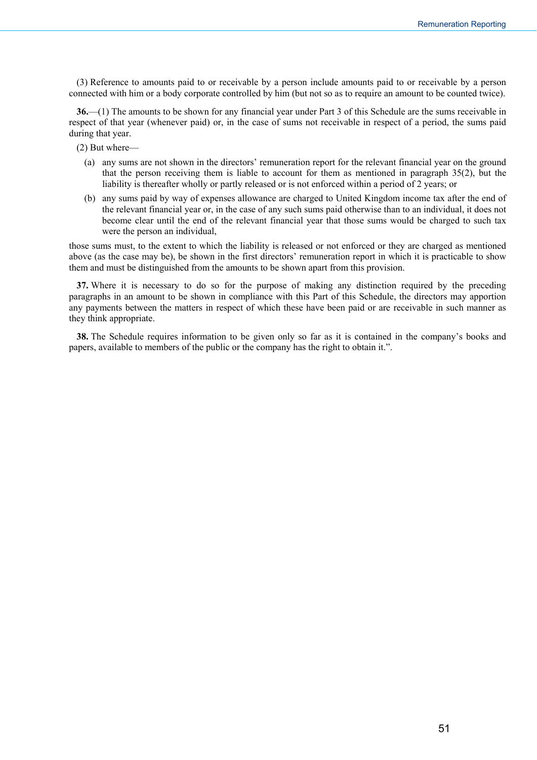(3) Reference to amounts paid to or receivable by a person include amounts paid to or receivable by a person connected with him or a body corporate controlled by him (but not so as to require an amount to be counted twice).

**36.**—(1) The amounts to be shown for any financial year under Part 3 of this Schedule are the sums receivable in respect of that year (whenever paid) or, in the case of sums not receivable in respect of a period, the sums paid during that year.

(2) But where—

- (a) any sums are not shown in the directors' remuneration report for the relevant financial year on the ground that the person receiving them is liable to account for them as mentioned in paragraph 35(2), but the liability is thereafter wholly or partly released or is not enforced within a period of 2 years; or
- (b) any sums paid by way of expenses allowance are charged to United Kingdom income tax after the end of the relevant financial year or, in the case of any such sums paid otherwise than to an individual, it does not become clear until the end of the relevant financial year that those sums would be charged to such tax were the person an individual,

those sums must, to the extent to which the liability is released or not enforced or they are charged as mentioned above (as the case may be), be shown in the first directors' remuneration report in which it is practicable to show them and must be distinguished from the amounts to be shown apart from this provision.

**37.** Where it is necessary to do so for the purpose of making any distinction required by the preceding paragraphs in an amount to be shown in compliance with this Part of this Schedule, the directors may apportion any payments between the matters in respect of which these have been paid or are receivable in such manner as they think appropriate.

**38.** The Schedule requires information to be given only so far as it is contained in the company's books and papers, available to members of the public or the company has the right to obtain it.".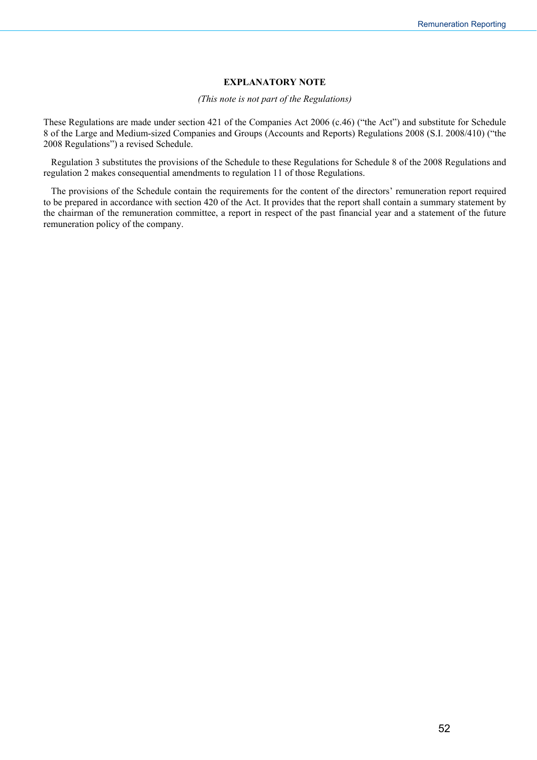#### **EXPLANATORY NOTE**

#### *(This note is not part of the Regulations)*

These Regulations are made under section 421 of the Companies Act 2006 (c.46) ("the Act") and substitute for Schedule 8 of the Large and Medium-sized Companies and Groups (Accounts and Reports) Regulations 2008 (S.I. 2008/410) ("the 2008 Regulations") a revised Schedule.

Regulation 3 substitutes the provisions of the Schedule to these Regulations for Schedule 8 of the 2008 Regulations and regulation 2 makes consequential amendments to regulation 11 of those Regulations.

The provisions of the Schedule contain the requirements for the content of the directors' remuneration report required to be prepared in accordance with section 420 of the Act. It provides that the report shall contain a summary statement by the chairman of the remuneration committee, a report in respect of the past financial year and a statement of the future remuneration policy of the company.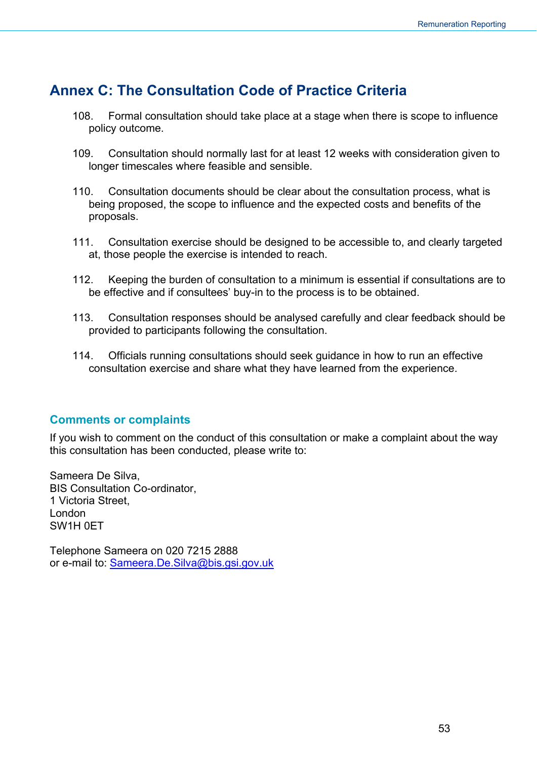# <span id="page-52-0"></span>**Annex C: The Consultation Code of Practice Criteria**

- 108. Formal consultation should take place at a stage when there is scope to influence policy outcome.
- 109. Consultation should normally last for at least 12 weeks with consideration given to longer timescales where feasible and sensible.
- 110. Consultation documents should be clear about the consultation process, what is being proposed, the scope to influence and the expected costs and benefits of the proposals.
- 111. Consultation exercise should be designed to be accessible to, and clearly targeted at, those people the exercise is intended to reach.
- 112. Keeping the burden of consultation to a minimum is essential if consultations are to be effective and if consultees' buy-in to the process is to be obtained.
- 113. Consultation responses should be analysed carefully and clear feedback should be provided to participants following the consultation.
- 114. Officials running consultations should seek guidance in how to run an effective consultation exercise and share what they have learned from the experience.

# <span id="page-52-1"></span>**Comments or complaints**

If you wish to comment on the conduct of this consultation or make a complaint about the way this consultation has been conducted, please write to:

Sameera De Silva, BIS Consultation Co-ordinator, 1 Victoria Street, London SW1H 0ET

Telephone Sameera on 020 7215 2888 or e-mail to: [Sameera.De.Silva@bis.gsi.gov.uk](mailto:Sameera.De.Silva@bis.gsi.gov.uk?subject=BIS%20Consultation%20Co-ordinator)